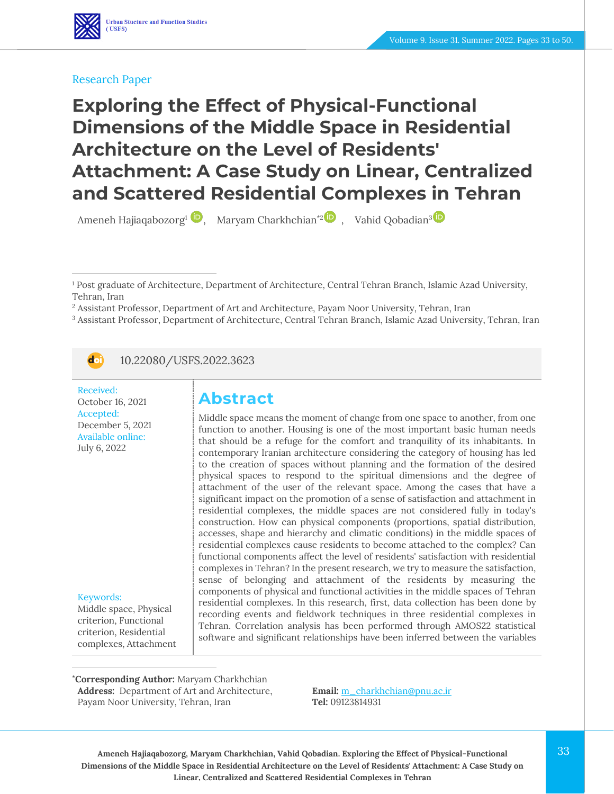

#### Research Paper

# **Exploring the Effect of Physical-Functional Dimensions of the Middle Space in Residential Architecture on the Level of Residents' Attachment: A Case Study on Linear, Centralized and Scattered Residential Complexes in Tehran**

Ameneh Hajiaqabozorg<sup>1</sup> (2)[,](https://www.orcid.org/0000-0003-1152-0784) Maryam Charkhchian<sup>\*2</sup> , Vahid Qobadian<sup>[3](https://www.orcid.org/0000-0002-5040-0382)</sup>

<sup>3</sup> Assistant Professor, Department of Architecture, Central Tehran Branch, Islamic Azad University, Tehran, Iran



10.22080/USFS.2022.3623

Received: October 16, 2021 Accepted: December 5, 2021 Available online: July 6, 2022

#### Keywords:

Middle space, Physical criterion, Functional criterion, Residential complexes, Attachment

## **Abstract**

Middle space means the moment of change from one space to another, from one function to another. Housing is one of the most important basic human needs that should be a refuge for the comfort and tranquility of its inhabitants. In contemporary Iranian architecture considering the category of housing has led to the creation of spaces without planning and the formation of the desired physical spaces to respond to the spiritual dimensions and the degree of attachment of the user of the relevant space. Among the cases that have a significant impact on the promotion of a sense of satisfaction and attachment in residential complexes, the middle spaces are not considered fully in today's construction. How can physical components (proportions, spatial distribution, accesses, shape and hierarchy and climatic conditions) in the middle spaces of residential complexes cause residents to become attached to the complex? Can functional components affect the level of residents' satisfaction with residential complexes in Tehran? In the present research, we try to measure the satisfaction, sense of belonging and attachment of the residents by measuring the components of physical and functional activities in the middle spaces of Tehran residential complexes. In this research, first, data collection has been done by recording events and fieldwork techniques in three residential complexes in Tehran. Correlation analysis has been performed through AMOS22 statistical software and significant relationships have been inferred between the variables

**\*Corresponding Author:** Maryam Charkhchian **Address:** Department of Art and Architecture, Payam Noor University, Tehran, Iran

**Email:** [m\\_charkhchian@pnu.ac.ir](file:///C:/Users/farha/Desktop/UFTS-01-1401/Temp/m_charkhchian@pnu.ac.ir) **Tel:** 09123814931

<sup>1</sup> Post graduate of Architecture, Department of Architecture, Central Tehran Branch, Islamic Azad University, Tehran, Iran

<sup>2</sup> Assistant Professor, Department of Art and Architecture, Payam Noor University, Tehran, Iran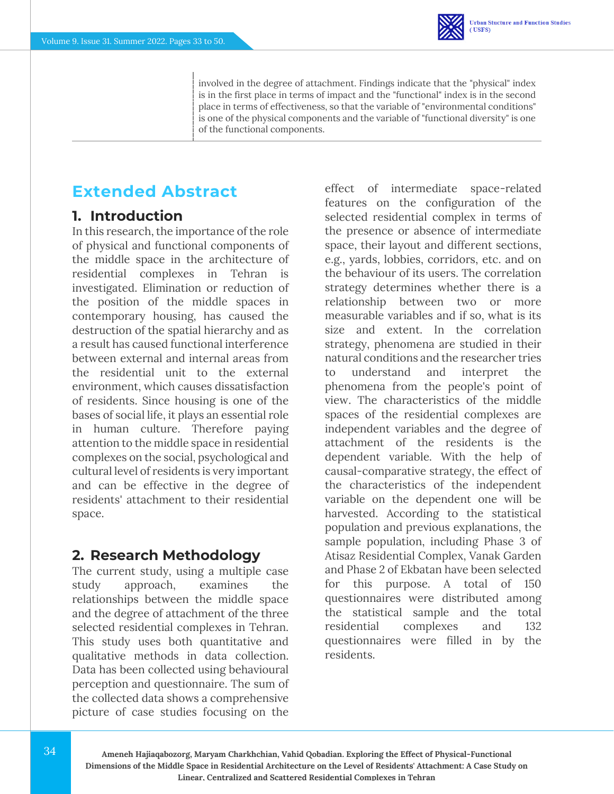

involved in the degree of attachment. Findings indicate that the "physical" index is in the first place in terms of impact and the "functional" index is in the second place in terms of effectiveness, so that the variable of "environmental conditions" is one of the physical components and the variable of "functional diversity" is one of the functional components.

# **Extended Abstract**

### **1. Introduction**

In this research, the importance of the role of physical and functional components of the middle space in the architecture of residential complexes in Tehran is investigated. Elimination or reduction of the position of the middle spaces in contemporary housing, has caused the destruction of the spatial hierarchy and as a result has caused functional interference between external and internal areas from the residential unit to the external environment, which causes dissatisfaction of residents. Since housing is one of the bases of social life, it plays an essential role in human culture. Therefore paying attention to the middle space in residential complexes on the social, psychological and cultural level of residents is very important and can be effective in the degree of residents' attachment to their residential space.

## **2. Research Methodology**

The current study, using a multiple case study approach, examines the relationships between the middle space and the degree of attachment of the three selected residential complexes in Tehran. This study uses both quantitative and qualitative methods in data collection. Data has been collected using behavioural perception and questionnaire. The sum of the collected data shows a comprehensive picture of case studies focusing on the

effect of intermediate space-related features on the configuration of the selected residential complex in terms of the presence or absence of intermediate space, their layout and different sections, e.g., yards, lobbies, corridors, etc. and on the behaviour of its users. The correlation strategy determines whether there is a relationship between two or more measurable variables and if so, what is its size and extent. In the correlation strategy, phenomena are studied in their natural conditions and the researcher tries to understand and interpret the phenomena from the people's point of view. The characteristics of the middle spaces of the residential complexes are independent variables and the degree of attachment of the residents is the dependent variable. With the help of causal-comparative strategy, the effect of the characteristics of the independent variable on the dependent one will be harvested. According to the statistical population and previous explanations, the sample population, including Phase 3 of Atisaz Residential Complex, Vanak Garden and Phase 2 of Ekbatan have been selected for this purpose. A total of 150 questionnaires were distributed among the statistical sample and the total residential complexes and 132 questionnaires were filled in by the residents.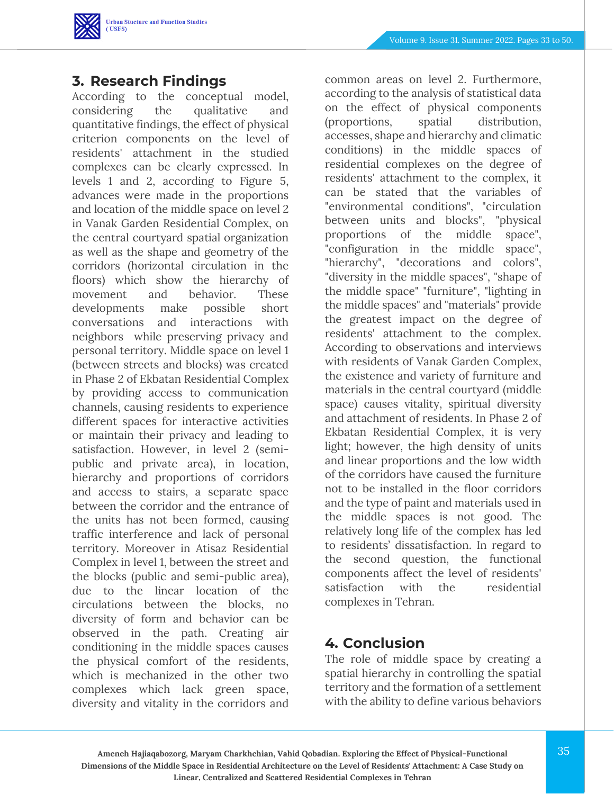

## **3. Research Findings**

According to the conceptual model, considering the qualitative and quantitative findings, the effect of physical criterion components on the level of residents' attachment in the studied complexes can be clearly expressed. In levels 1 and 2, according to Figure 5, advances were made in the proportions and location of the middle space on level 2 in Vanak Garden Residential Complex, on the central courtyard spatial organization as well as the shape and geometry of the corridors (horizontal circulation in the floors) which show the hierarchy of movement and behavior. These developments make possible short conversations and interactions with neighbors while preserving privacy and personal territory. Middle space on level 1 (between streets and blocks) was created in Phase 2 of Ekbatan Residential Complex by providing access to communication channels, causing residents to experience different spaces for interactive activities or maintain their privacy and leading to satisfaction. However, in level 2 (semipublic and private area), in location, hierarchy and proportions of corridors and access to stairs, a separate space between the corridor and the entrance of the units has not been formed, causing traffic interference and lack of personal territory. Moreover in Atisaz Residential Complex in level 1, between the street and the blocks (public and semi-public area), due to the linear location of the circulations between the blocks, no diversity of form and behavior can be observed in the path. Creating air conditioning in the middle spaces causes the physical comfort of the residents, which is mechanized in the other two complexes which lack green space, diversity and vitality in the corridors and

common areas on level 2. Furthermore, according to the analysis of statistical data on the effect of physical components (proportions, spatial distribution, accesses, shape and hierarchy and climatic conditions) in the middle spaces of residential complexes on the degree of residents' attachment to the complex, it can be stated that the variables of "environmental conditions", "circulation between units and blocks", "physical proportions of the middle space", "configuration in the middle space", "hierarchy", "decorations and colors", "diversity in the middle spaces", "shape of the middle space" "furniture", "lighting in the middle spaces" and "materials" provide the greatest impact on the degree of residents' attachment to the complex. According to observations and interviews with residents of Vanak Garden Complex, the existence and variety of furniture and materials in the central courtyard (middle space) causes vitality, spiritual diversity and attachment of residents. In Phase 2 of Ekbatan Residential Complex, it is very light; however, the high density of units and linear proportions and the low width of the corridors have caused the furniture not to be installed in the floor corridors and the type of paint and materials used in the middle spaces is not good. The relatively long life of the complex has led to residents' dissatisfaction. In regard to the second question, the functional components affect the level of residents' satisfaction with the residential complexes in Tehran.

## **4. Conclusion**

The role of middle space by creating a spatial hierarchy in controlling the spatial territory and the formation of a settlement with the ability to define various behaviors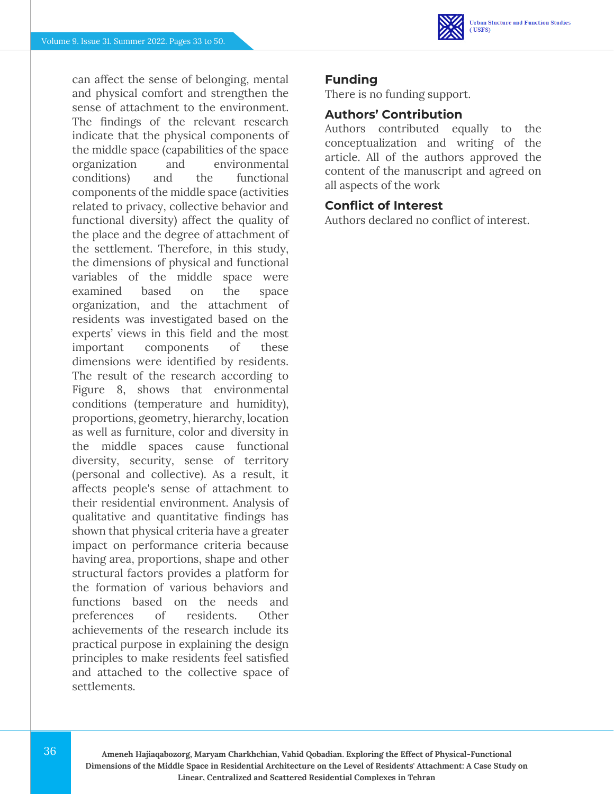

can affect the sense of belonging, mental and physical comfort and strengthen the sense of attachment to the environment. The findings of the relevant research indicate that the physical components of the middle space (capabilities of the space organization and environmental conditions) and the functional components of the middle space (activities related to privacy, collective behavior and functional diversity) affect the quality of the place and the degree of attachment of the settlement. Therefore, in this study, the dimensions of physical and functional variables of the middle space were examined based on the space organization, and the attachment of residents was investigated based on the experts' views in this field and the most important components of these dimensions were identified by residents. The result of the research according to Figure 8, shows that environmental conditions (temperature and humidity), proportions, geometry, hierarchy, location as well as furniture, color and diversity in the middle spaces cause functional diversity, security, sense of territory (personal and collective). As a result, it affects people's sense of attachment to their residential environment. Analysis of qualitative and quantitative findings has shown that physical criteria have a greater impact on performance criteria because having area, proportions, shape and other structural factors provides a platform for the formation of various behaviors and functions based on the needs and preferences of residents. Other achievements of the research include its practical purpose in explaining the design principles to make residents feel satisfied and attached to the collective space of settlements.

#### **Funding**

There is no funding support.

### **Authors' Contribution**

Authors contributed equally to the conceptualization and writing of the article. All of the authors approved the content of the manuscript and agreed on all aspects of the work

### **Conflict of Interest**

Authors declared no conflict of interest.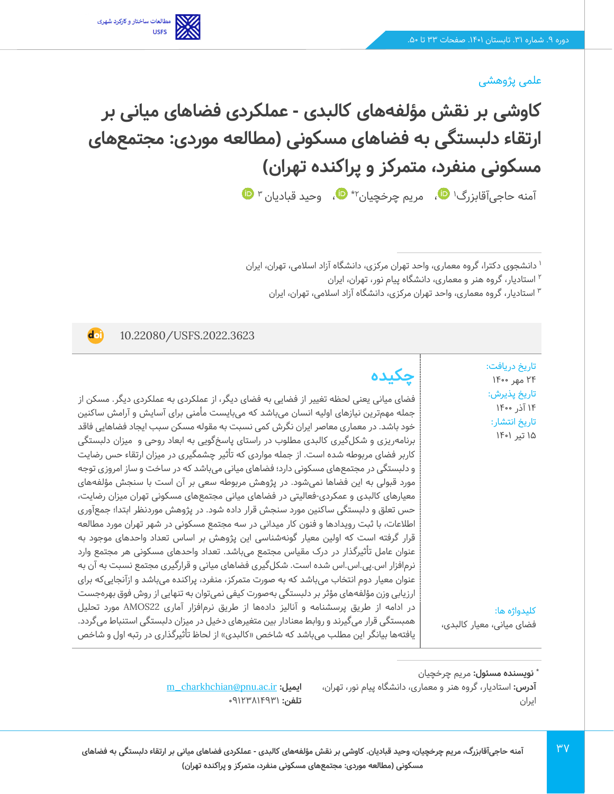

### علمی پژوهشی

**کاوشی بر نقش مؤلفههای کالبدی - عملکردی فضاهای میانی بر ارتقاء دلبستگی به فضاهای مسکونی )مطالعه موردی: مجتمعهای مسکونی منفرد، متمرکز و پراکنده تهران(** 

آمنه حاجیآقابزرگ' �[،](https://www.orcid.org/0000-0003-4672-5341) مریم چرخچیان ٔ \* �، وحید قبادیان ۳

10.22080/USFS.2022.3623

doi)

تاریخ دریافت: 24 مهر 1400 تاریخ پذیرش : 14 آذر 1400 تاریخ انتشار: 15 تیر 1401

**چکیده**

فضای میانی یعنی لحظه تغییر از فضایی به فضای دیگر، از عملکردی به عملکردی دیگر. مسکن از جمله مهمترین نیازهای اولیه انسان میباشد که میبایست مأمنی برای آسایش و آرامش ساکنین خود باشد. در معماری معاصر ایران نگرش کمی نسبت به مقوله مسکن سبب ایجاد فضاهایی فاقد برنامهریزی و شکلگیری کالبدی مطلوب در راستای پاسخگویی به ابعاد روحی و میزان دلبستگی کاربر فضای مربوطه شده است. از جمله مواردی که تأثیر چشمگیری در میزان ارتقاء حس رضایت و دلبستگی در مجتمعهای مسکونی دارد؛ فضاهای میانی میباشد که در ساخت و ساز امروزی توجه مورد قبولی به این فضاها نمیشود. در پژوهش مربوطه سعی بر آن است با سنجش مؤلفههای معیارهای کالبدی و عمکردی-فعالیتی در فضاهای میانی مجتمعهای مسکونی تهران میزان رضایت، حس تعلق و دلبستگی ساکنین مورد سنجش قرار داده شود. در پژوهش موردنظر ابتدا؛ جمعآوری اطالعات، با ثبت رویدادها و فنون کار میدانی در سه مجتمع مسکونی در شهر تهران مورد مطالعه قرار گرفته است که اولین معیار گونهشناسی این پژوهش بر اساس تعداد واحدهای موجود به عنوان عامل تأثیرگذار در درک مقیاس مجتمع میباشد. تعداد واحدهای مسکونی هر مجتمع وارد نرمافزار اس.پی.اس.اس شده است . شکلگیری فضاهای میانی و قرارگیری مجتمع نسبت به آن به عنوان معیار دوم انتخاب میباشد که به صورت متمرکز، منفرد، پراکنده میباشد و ازآنجاییکه برای ارزیابی وزن مؤلفههای مؤثر بر دلبستگی بهصورت کیفی نمیتوان به تنهایی از روش فوق بهره جست در ادامه از طریق پرسشنامه و آنالیز دادهها از طریق نرمافزار آماری 22AMOS مورد تحلیل همبستگی قرار میگیرند و روابط معنادار بین متغیرهای دخیل در میزان دلبستگی استنباط میگردد. یافتهها بیانگر این مطلب میباشد که شاخص «کالبدی» از لحاظ تأثیرگذاری در رتبه اول و شاخص

کلیدواژه ها: فضای میانی، معیار کالبدی،

**:** مریم چرخچیان **\* نویسنده مسئول آدرس:** استادیار، گروه هنر و معماری، دانشگاه پیام نور، تهران، ایران

[m\\_charkhchian@pnu.ac.ir](file:///C:/Users/farha/Desktop/UFTS-01-1401/Temp/m_charkhchian@pnu.ac.ir) **:ایمیل تلفن:** 09123814931

<sup>1</sup> دانشجوی دکترا، گروه معماری، واحد تهران مرکزی، دانشگاه آزاد اسالمی، تهران، ایران

<sup>2</sup> استادیار، گروه هنر و معماری، دانشگاه پیام نور، تهران، ایران

استادیار، گروه معماری، واحد تهران مرکزی، دانشگاه آزاد اسالمی، تهران، ایران <sup>3</sup>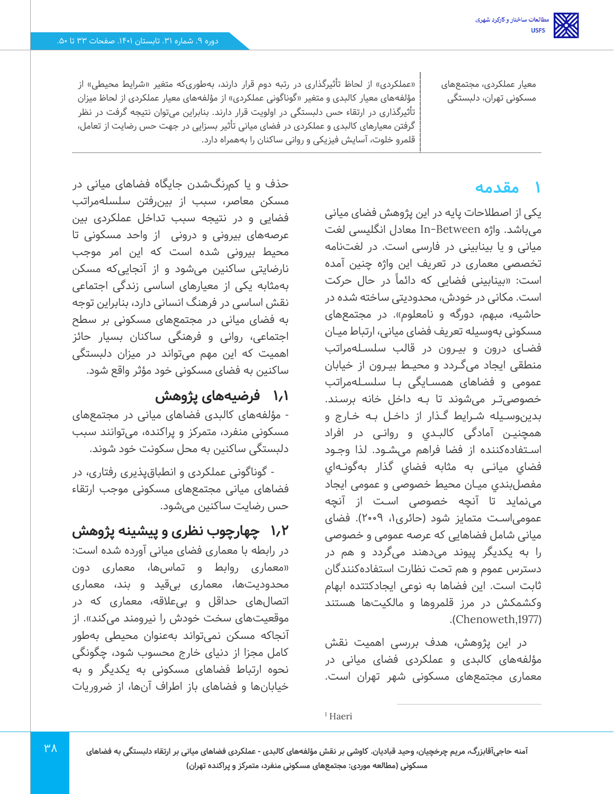

معیار عملکردی، مجتمعهای مسکونی تهران، دلبستگی

«عملکردی» از لحاظ تأثیرگذاری در رتبه دوم قرار دارند، بهطوریکه متغیر «شرایط محیطی» از مؤلفههای معیار کالبدی و متغیر «گوناگونی عملکردی» از مؤلفههای معیار عملکردی از لحاظ میزان تأثیرگذاری در ارتقاء حس دلبستگی در اولویت قرار دارند. بنابراین میتوان نتیجه گرفت در نظر گرفتن معیارهای کالبدی و عملکردی در فضای میانی تأثیر بسزایی در جهت حس رضایت از تعامل، قلمرو خلوت، آسایش فیزیکی و روانی ساکنان را بههمراه دارد.

## **1 مقدمه**

یکی از اصطالحات پایه در این پژوهش فضای میانی میباشد. واژه Between-In معادل انگلیسی لغت میانی و یا بینابینی در فارسی است. در لغت نامه تخصصی معماری در تعریف این واژه چنین آمده است: «بینابینی فضایی که دائماً در حال حرکت است. مکانی در خودش، محدودیتی ساخته شده در حاشیه، مبهم، دورگه و نامعلوم». در مجتمعهای مسکونی به وسیله تعریف فضای میانی، ارتباط میــان فضــای درون و بیــرون در قالب سلســلهمراتب منطقی ایجاد می گــردد و محیــط بیــرون از خیابان عمومی و فضاهای همســایگی بــا سلســلهمراتب خصوصیتــر می شوند تا بــه داخل خانه برسـند. بدین وســیله شــرایط گــذار از داخــل بــه خــارج و همچنیــن آمادگی کالبــدي و روانــی در افراد اســتفاده کننده از فضا فراهم می شــود. لذا وجــود فضاي میانــی به مثابه فضاي گذار به گونــهاي مفصلبندي میــان محیط خصوصی و عمومی ایجاد مینماید تا آنچه خصوصی اســت از آنچه عمومی،اسـت متمایز شود (حائری۱، ۹۰۰۹). فضای میانی شامل فضاهایی که عرصه عمومی و خصوصی را به یکدیگر پیوند می دهند می گردد و هم در دسترس عموم و هم تحت نظارت استفادهکنندگان ثابت است. این فضاها به نوعی ایجادکتتده ابهام وکشمکش در مرز قلمروها و مالکیت ها هستند .)Chenoweth,1977(

در این پژوهش، هدف بررسی اهمیت نقش مؤلفههای کالبدی و عملکردی فضای میانی در معماری مجتمع های مسکونی شهر تهران است.

حذف و یا کم رنگشدن جایگاه فضاهای میانی در مسکن معاصر، سبب از بینرفتن سلسلهمراتب فضایی و در نتیجه سبب تداخل عملکردی بین عرصه های بیرونی و درونی از واحد مسکونی تا محیط بیرونی شده است که این امر موجب نارضایتی ساکنین می شود و از آنجایی که مسکن بهمثابه یکی از معیارهای اساسی زندگی اجتماعی نقش اساسی در فرهنگ انسانی دارد، بنابراین توجه به فضای میانی در مجتمع های مسکونی بر سطح اجتماعی، روانی و فرهنگی ساکنان بسیار حائز اهمیت که این مهم می تواند در میزان دلبستگی ساکنین به فضای مسکونی خود مؤثر واقع شود.

## **1.1 فرضیههای پژوهش**

- مؤلفه های کالبدی فضاهای میانی در مجتمع های مسکونی منفرد، متمرکز و پراکنده، میتوانند سبب دلبستگی ساکنین به محل سکونت خود شوند.

- گوناگونی عملکردی و انطباقپذیری رفتاری، در فضاهای میانی مجتمع های مسکونی موجب ارتقاء حس رضایت ساکنین می شود.

**1.2 چهارچوب نظری و پیشینه پژوهش** 

در رابطه با معماری فضای میانی آورده شده است: »معماری روابط و تماسها، معماری دون محدودیت ها، معماری بی قید و بند، معماری اتصال های حداقل و بی عالقه، معماری که در موقعیتهای سخت خودش را نیرومند میکند». از آنجاکه مسکن نمی تواند به عنوان محیطی به طور کامل مجزا از دنیای خارج محسوب شود، چگونگی نحوه ارتباط فضاهای مسکونی به یکدیگر و به خیابانها و فضاهای باز اطراف آنها، از ضروریات

<sup>1</sup> Haeri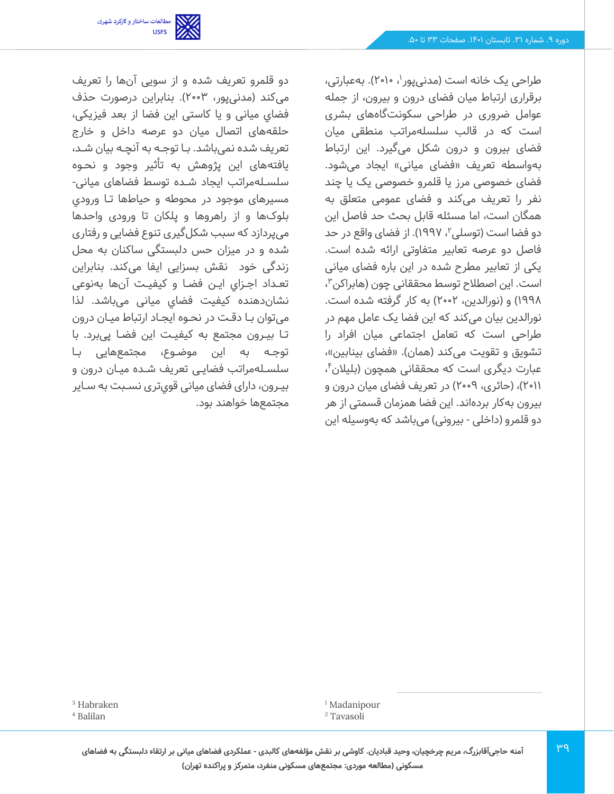طراحی یک خانه است (مدنیپور<sup>۱</sup>، ۲۰۱۰). بهعبارتی، برقراری ارتباط میان فضای درون و بیرون، از جمله عوامل ضروری در طراحی سکونت گاههای بشری است که در قالب سلسلهمراتب منطقی میان فضای بیرون و درون شکل می گیرد. این ارتباط بهواسطه تعریف «فضای میانی» ایجاد می شود. فضای خصوصی مرز یا قلمرو خصوصی یک یا چند نفر را تعریف می کند و فضای عمومی متعلق به همگان است، اما مسئله قابل بحث حد فاصل این دو فضا است (توسلی۲، ۱۹۹۷). از فضای واقع در حد فاصل دو عرصه تعابیر متفاوتی ارائه شده است. یکی از تعابیر مطرح شده در این باره فضای میانی ، <sup>3</sup> است. این اصطالح توسط محققانی چون (هابراکن 1998( و )نورالدین، 2002( به کار گرفته شده است. نورالدین بیان می کند که این فضا یک عامل مهم در طراحی است که تعامل اجتماعی میان افراد را تشویق و تقویت می *کن*د (همان). «فضای بینابین»، عبارت دیگری است که محققانی همچون (بلیلان<sup>۴</sup>، 2011(، )حائری، 2009( در تعریف فضای میان درون و بیرون به کار برده اند. این فضا همزمان قسمتی از هر دو قلمرو (داخلی - بیرونی) می باشد که بهوسیله این



دو قلمرو تعریف شده و از سویی آن ها را تعریف میکند (مدنی پور، ۲۰۰۳). بنابراین درصورت حذف فضاي میانی و یا کاستی این فضا از بعد فیزیکی، حلقههای اتصال میان دو عرصه داخل و خارج تعریف شده نمیباشد. بــا توجــه به آنچــه بیان شــد، یافتههای این پژوهش به تأثیر وجود و نحــوه سلســلهمراتب ایجاد شــده توسط فضاهای میانی- مسیرهای موجود در محوطه و حیاطها تـا ورودی بلوک ها و از راهروها و پلکان تا ورودی واحدها میپردازد که سبب شکل گیری تنوع فضایی و رفتاری شده و در میزان حس دلبستگی ساکنان به محل زندگی خود نقش بسزایی ایفا می کند. بنابراین تعــداد اجــزاي ایــن فضــا و کیفیــت آن ها به نوعی نشان دهنده کیفیت فضاي میانی می باشد. لذا میتوان بــا دقــت در نحــوه ایجــاد ارتباط میــان درون تــا بیــرون مجتمع به کیفیــت این فضــا پی برد. با توجــه به این موضــوع، مجتمعهایی بــا سلســلهمراتب فضایــی تعریف شــده میــان درون و بیــرون، دارای فضای میانی قويتری نســبت به ســایر مجتمعها خواهند بود.

> <sup>1</sup> Madanipour <sup>2</sup> Tavasoli

<sup>3</sup> Habraken

<sup>4</sup> Balilan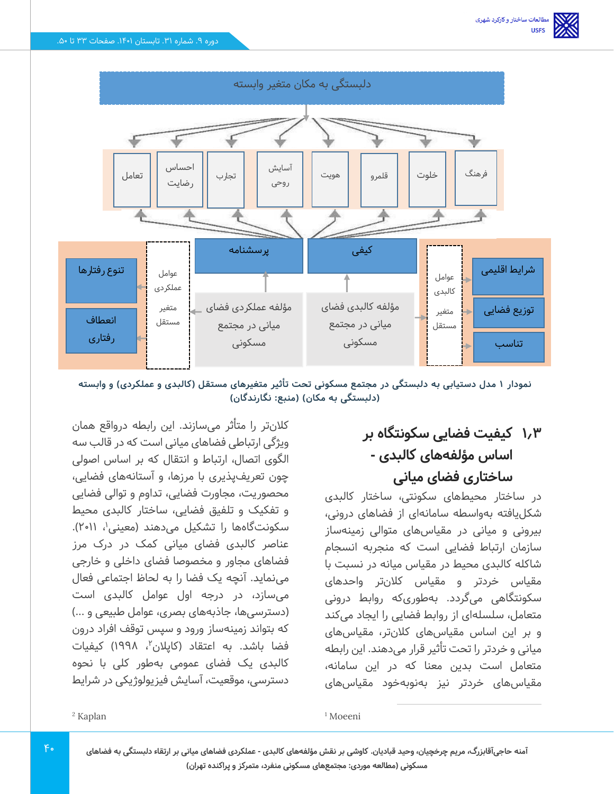

**نمودار 1 مدل دستیابی به دلبستگی در مجتمع مسکونی تحت تأثیر متغیرهای مستقل )کالبدی و عملکردی( و وابسته )دلبستگی به مکان( )منبع: نگارندگان(** 

# **1.3 کیفیت فضایی سکونتگاه بر اساس مؤلفه های کالبدی - ساختاری فضای میانی**

در ساختار محیطهای سکونتی، ساختار کالبدی شکلیافته به واسطه سامانهای از فضاهای درونی، بیرونی و میانی در مقیاس های متوالی زمینهساز سازمان ارتباط فضایی است که منجربه انسجام شاکله کالبدی محیط در مقیاس میانه در نسبت با مقیاس خردتر و مقیاس کالن تر واحدهای سکونتگاهی می گردد. به طوری که روابط درونی متعامل، سلسلهای از روابط فضایی را ایجاد می کند و بر این اساس مقیاس های کالن تر، مقیاسهای میانی و خردتر را تحت تأثیر قرار می دهند. این رابطه متعامل است بدین معنا که در این سامانه، مقیاسهای خردتر نیز بهنوبه خود مقیاس های

کالن تر را متأثر میسازند. این رابطه درواقع همان ویژگی ارتباطی فضاهای میانی است که در قالب سه الگوی اتصال، ارتباط و انتقال که بر اساس اصولی چون تعریف پذیری با مرزها، و آستانه های فضایی، محصوریت، مجاورت فضایی، تداوم و توالی فضایی و تفکیک و تلفیق فضایی، ساختار کالبدی محیط سکونتگاهها را تشکیل میدهند (معینی<sup>۱</sup>، ۲۰۱۱). عناصر کالبدی فضای میانی کمک در درک مرز فضاهای مجاور و مخصوصا فضای داخلی و خارجی مینماید. آنچه یک فضا را به لحاظ اجتماعی فعال میسازد، در درجه اول عوامل کالبدی است (دسترسیها، جاذبههای بصری، عوامل طبیعی و ...) که بتواند زمینهساز ورود و سپس توقف افراد درون فضا باشد. به اعتقاد (کاپلان<sup>۲</sup>، ۱۹۹۸) کیفیات کالبدی یک فضای عمومی به طور کلی با نحوه دسترسی، موقعیت، آسایش فیزیولوژیکی در شرایط

<sup>1</sup> Moeeni

<sup>2</sup> Kaplan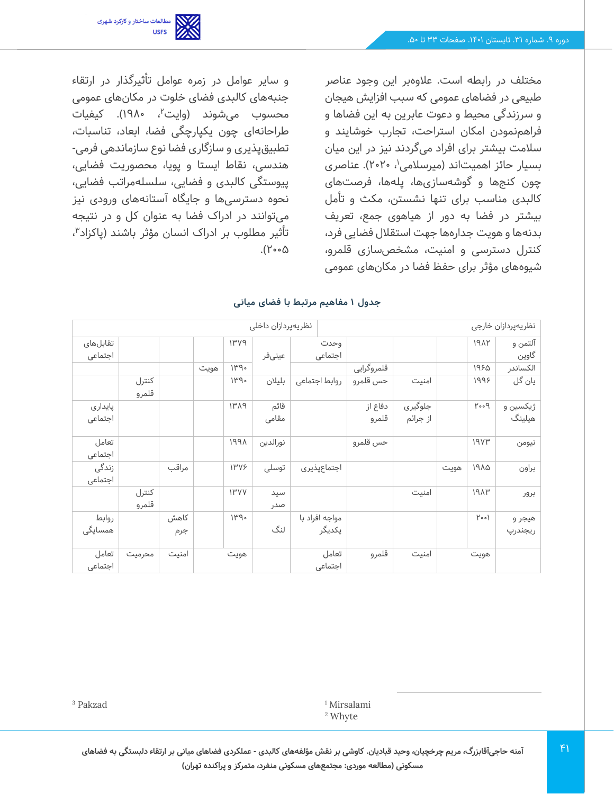مختلف در رابطه است. عالوهبر این وجود عناصر طبیعی در فضاهای عمومی که سبب افزایش هیجان و سرزندگی محیط و دعوت عابرین به این فضاها و فراهمنمودن امکان استراحت، تجارب خوشایند و سالمت بیشتر برای افراد می گردند نیز در این میان بسیار حائز اهمیتاند (میرسلامی<sup>י</sup>، ۲۰۲۰). عناصری چون کنج ها و گوشه سازیها، پله ها، فرصت های کالبدی مناسب برای تنها نشستن، مکث و تأمل بیشتر در فضا به دور از هیاهوی جمع، تعریف بدنهها و هویت جداره ها جهت استقالل فضایی فر د، کنترل دسترسی و امنیت، مشخص سازی قلمرو، شیوههای مؤثر برای حفظ فضا در مکان های عمومی

و سایر عوامل در زمره عوامل تأثیرگذار در ارتقاء جنبههای کالبدی فضای خلوت در مکان های عمومی محسوب میشوند (وایت<sup>۲</sup>، ۱۹۸۰). کیفیات طراحانهای چون یکپارچگی فضا، ابعاد، تناسبات، تطبیقپذیری و سازگاری فضا نوع سازماندهی فرمی - هندسی، نقاط ایستا و پویا، محصوریت فضایی، پیوستگی کالبدی و فضایی، سلسلهمراتب فضایی، نحوه دسترسی ها و جایگاه آستانههای ورودی نیز میتوانند در ادراک فضا به عنوان کل و در نتیجه تأثیر مطلوب بر ادراک انسان مؤثر باشند (پاکزاد<sup>۳</sup>،  $\Lambda$ 

| جدول ۱ مفاهیم مرتبط با فضای میانی |  |  |  |
|-----------------------------------|--|--|--|
|-----------------------------------|--|--|--|

|          |        |       |      |             | نظریهپردازان داخلی |               |                |            |          |      |                   | نظریەپردازان خارجى |
|----------|--------|-------|------|-------------|--------------------|---------------|----------------|------------|----------|------|-------------------|--------------------|
| تقابلهاى |        |       |      | 1449        |                    |               | وحدت           |            |          |      | 19AY              | آلتمن و            |
| اجتماعى  |        |       |      |             | عينىفر             |               | اجتماعى        |            |          |      |                   | گاوين              |
|          |        |       | هويت | 1H90        |                    |               |                | قلمروگرایی |          |      | 1980              | الكساندر           |
|          | كنترل  |       |      | 1149        | بليلان             | روابط اجتماعى |                | حس قلمرو   | امنيت    |      | 1998              | یان گل             |
|          | قلمرو  |       |      |             |                    |               |                |            |          |      |                   |                    |
| پايدارى  |        |       |      | 144         | قائم               |               |                | دفاع از    | جلوگیری  |      | $P \circ \circ P$ | ژیکسین و           |
| اجتماعى  |        |       |      |             | مقامی              |               |                | قلمرو      | از جرائم |      |                   | هیلینگ             |
|          |        |       |      |             |                    |               |                |            |          |      |                   |                    |
| تعامل    |        |       |      | 1991        | نورالدين           |               |                | حس قلمرو   |          |      | 19VW              | نيومن              |
| اجتماعى  |        |       |      |             |                    |               |                |            |          |      |                   |                    |
| زندگی    |        | مراقب |      | 1۳۷۶        | توسلى              |               | اجتماعپذیری    |            |          | هويت | 1910              | براون              |
| اجتماعى  |        |       |      |             |                    |               |                |            |          |      |                   |                    |
|          | كنترل  |       |      | <b>IMAN</b> | سيد                |               |                |            | امنیت    |      | 1914              | برور               |
|          | قلمرو  |       |      |             | صدر                |               |                |            |          |      |                   |                    |
| روابط    |        | كاهش  |      | 1149        |                    |               | مواجه افراد با |            |          |      | $Y \circ \circ$   | هيجر و             |
| همسایگی  |        | جرم   |      |             | لنگ                |               | یکدیگر         |            |          |      |                   | ريجندرپ            |
|          |        |       |      |             |                    |               |                |            |          |      |                   |                    |
| تعامل    | محرميت | امنیت |      | هويت        |                    |               | تعامل          | قلمرو      | امنيت    |      | هويت              |                    |
| اجتماعى  |        |       |      |             |                    |               | اجتماعى        |            |          |      |                   |                    |

<sup>1</sup> Mirsalami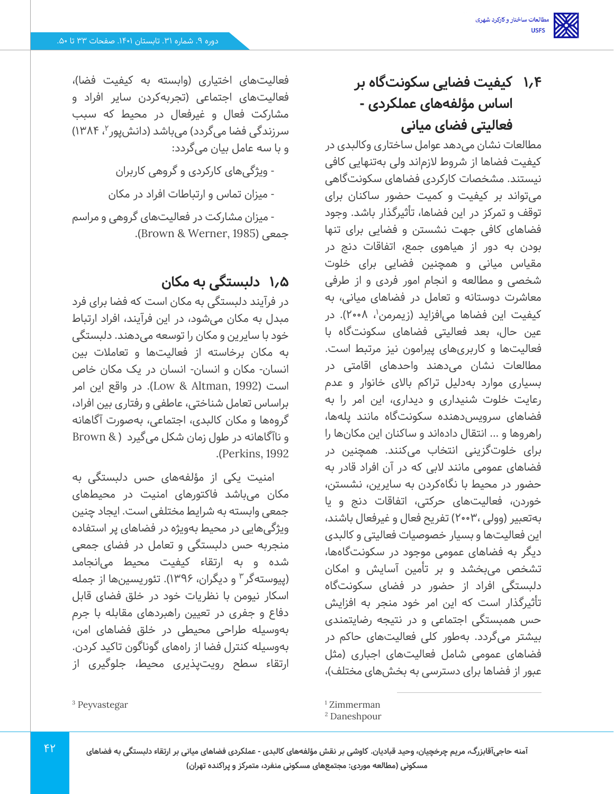# **1.4 کیفیت فضایی سکونت گاه بر اساس مؤلفه های عملکردی - فعالیتی فضای میانی**

مطالعات نشان می دهد عوامل ساختاری وکالبدی در کیفیت فضاها از شروط الزم اند ولی به تنهایی کافی نیستند. مشخصات کارکردی فضاهای سکونت گاهی میتواند بر کیفیت و کمیت حضور ساکنان برای توقف و تمرکز در این فضاها، تأثیرگذار باشد. وجود فضاهای کافی جهت نشستن و فضایی برای تنها بودن به دور از هیاهوی جمع، اتفاقات دنج در مقیاس میانی و همچنین فضایی برای خلوت شخصی و مطالعه و انجام امور فردی و از طرفی معاشرت دوستانه و تعامل در فضاهای میانی، به کیفیت این فضاها میافزاید (زیمرمن<sup>۱</sup>، ۲۰۰۸). در عین حال، بعد فعالیتی فضاهای سکونت گاه با فعالیتها و کاربری های پیرامون نیز مرتبط است. مطالعات نشان می دهند واحدهای اقامتی در بسیاری موارد به دلیل تراکم باالی خانوار و عدم رعایت خلوت شنیداری و دیداری، این امر را به فضاهای سرویس دهنده سکونت گاه مانند پلهها، راهروها و ... انتقال داده اند و ساکنان این مکان ها را برای خلوت گزینی انتخاب میکنند. همچنین در فضاهای عمومی مانند البی که در آن افراد قادر به حضور در محیط با نگاه کردن به سایرین، نشستن، خوردن، فعالیت های حرکتی، اتفاقات دنج و یا بهتعبیر )وولی 2003،( تفریح فعال و غیرفعال باشند، این فعالیت ها و بسیار خصوصیات فعالیتی و کالبدی دیگر به فضاهای عمومی موجود در سکونت گاهها، تشخص می بخشد و بر تأمین آسایش و امکان دلبستگی افراد از حضور در فضای سکونت گاه تأثیرگذار است که این امر خود منجر به افزایش حس همبستگی اجتماعی و در نتیجه رضایتمندی بیشتر میگردد. به طور کلی فعالیتهای حاکم در فضاهای عمومی شامل فعالیتهای اجباری )مثل عبور از فضاها برای دسترسی به بخشهای مختلف)،

فعالیتهای اختیاری (وابسته به کیفیت فضا)، فعالیتهای اجتماعی )تجربهکردن سایر افراد و مشارکت فعال و غیرفعال در محیط که سبب سرزندگی فضا میگردد) میباشد (دانشپور <sup>۲</sup>، ۱۳۸۴) و با سه عامل بیان می گردد:

- ویژگی های کارکردی و گروهی کاربران

- میزان تماس و ارتباطات افراد در مکان

- میزان مشارکت در فعالیت های گروهی و مراسم .)Brown & Werner, 1985( جمعی

# **1.5 دلبستگی به مکان**

در فرآیند دلبستگی به مکان است که فضا برای فرد مبدل به مکان می شود، در این فرآیند، افراد ارتباط خود با سایرین و مکان را توسعه میدهند. دلبستگی به مکان برخاسته از فعالیت ها و تعامالت بین انسان - مکان و انسان - انسان در یک مکان خاص است )1992 ,Altman & Low). در واقع این امر براساس تعامل شناختی، عاطفی و رفتاری بین افراد، گروهها و مکان کالبدی، اجتماعی، به صورت آگاهانه و ناآگاهانه در طول زمان شکل می گیرد ) & Brown .)Perkins, 1992

امنیت یکی از مؤلفههای حس دلبستگی به مکان می باشد فاکتورهای امنیت در محیط های جمعی وابسته به شرایط مختلفی است. ایجاد چنین ویژگی هایی در محیط به ویژه در فضاهای پر استفاده منجربه حس دلبستگی و تعامل در فضای جمعی شده و به ارتقاء کیفیت محیط می انجامد (پیوستهگر ۳ و دیگران، ۱۳۹۶). تئوریسینها از جمله اسکار نیومن با نظریات خود در خلق فضای قابل دفاع و جفری در تعیین راهبردهای مقابله با جرم بهوسیله طراحی محیطی در خلق فضاهای امن، بهوسیله کنترل فضا از راههای گوناگون تاکید کردن. ارتقاء سطح رویت پذیری محیط، جلوگیری از

<sup>1</sup> Zimmerman

<sup>2</sup> Daneshpour

**آمنه حاجی آقابزرگ، مریم چرخچیان، وحید قبادیان. کاوشی بر نقش مؤلفه های کالبدی - عملکردی فضاهای میانی بر ارتقاء دلبستگی به فضاهای مسکونی )مطالعه موردی: مجتمع های مسکونی منفرد، متمرکز و پراکنده تهران(**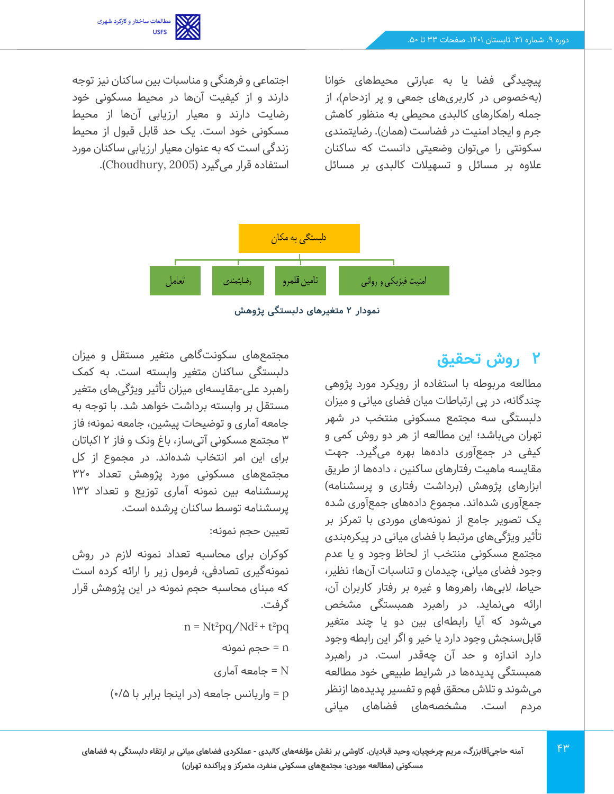

پیچیدگی فضا یا به عبارتی محیط های خوانا (بهخصوص در کاربریهای جمعی و پر ازدحام)، از جمله راهکارهای کالبدی محیطی به منظور کاهش جرم و ایجاد امنیت در فضاست (همان). رضایتمندی سکونتی را می توان وضعیتی دانست که ساکنان عالوه بر مسائل و تسهیالت کالبدی بر مسائل

اجتماعی و فرهنگی و مناسبات بین ساکنان نیز توجه دارند و از کیفیت آن ها در محیط مسکونی خود رضایت دارند و معیار ارزیابی آن ها از محیط مسکونی خود است. یک حد قابل قبول از محیط زندگی است که به عنوان معیار ارزیابی ساکنان مورد استفاده قرار می گیرد )2005 ,Choudhury).



**نمودار 2 متغیرهای دلبستگی پژوهش** 

# **2 روش تحقیق**

مطالعه مربوطه با استفاده از رویکرد مورد پژوهی چندگانه، در پی ارتباطات میان فضای میانی و میزان دلبستگی سه مجتمع مسکونی منتخب در شهر تهران می باشد؛ این مطالعه از هر دو روش کمی و کیفی در جمعآوری دادهها بهره میگیرد. جهت مقایسه ماهیت رفتارهای ساکنین ، داده ها از طریق ابزارهای پژوهش (برداشت رفتاری و پرسشنامه) جمع آوری شدهاند. مجموع داده های جمع آوری شده یک تصویر جامع از نمونه های موردی با تمرکز بر تأثیر ویژگی های مرتبط با فضای میانی در پیکره بندی مجتمع مسکونی منتخب از لحاظ وجود و یا عدم وجود فضای میانی، چیدمان و تناسبات آن ها؛ نظیر، حیاط، البی ها، راهروها و غیره بر رفتار کاربران آن، ارائه مینماید. در راهبرد همبستگی مشخص میشود که آیا رابطهای بین دو یا چند متغیر قابلسنجش وجود دارد یا خیر و اگر این رابطه وجود دارد اندازه و حد آن چه قدر است. در راهبرد همبستگی پدیده ها در شرایط طبیعی خود مطالعه میشوند و تالش محقق فهم و تفسیر پدیده ها ازنظر مردم است. مشخصه های فضاهای میانی

مجتمع های سکونت گاهی متغیر مستقل و میزان دلبستگی ساکنان متغیر وابسته است. به کمک راهبرد علی-مقایسه ای میزان تأثیر ویژگی های متغیر مستقل بر وابسته برداشت خواهد شد. با توجه به جامعه آماری و توضیحات پیشین، جامعه نمونه؛ فاز 3 مجتمع مسکونی آتی ساز، باغ ونک و فاز 2 اکباتان برای این امر انتخاب شده اند. در مجموع از کل مجتمع های مسکونی مورد پژوهش تعداد 320 پرسشنامه بین نمونه آماری توزیع و تعداد 132 پرسشنامه توسط ساکنان پرشده است.

#### تعیین حجم نمونه:

کوکران برای محاسبه تعداد نمونه الزم در روش نمونه گیری تصادفی، فرمول زیر را ارائه کرده است که مبنای محاسبه حجم نمونه در این پژوهش قرار گرفت.

- $p = Nt^2pq/Nd^2 + t^2pq$ 
	- n = حجم نمونه
	- N = جامعه آماری
- واریانس جامعه (در اینجا برابر با ۵/۰) (۰/۵ $=$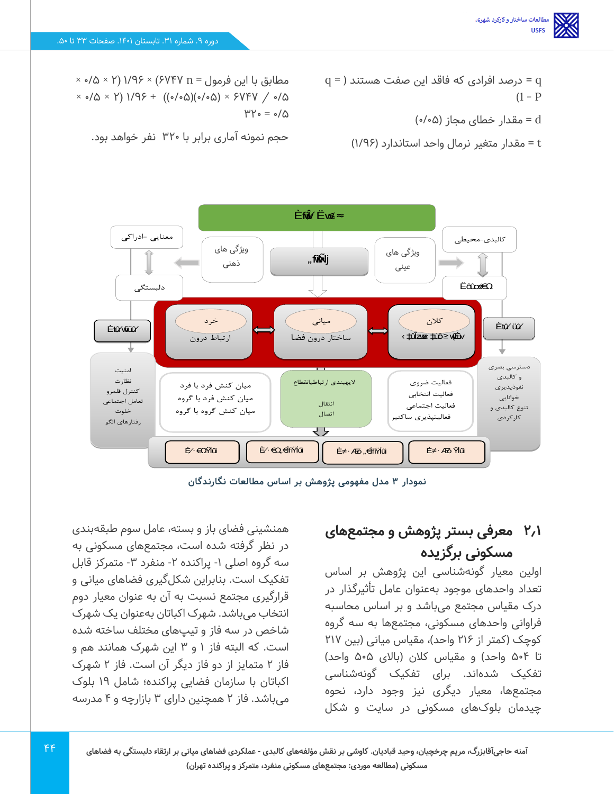q = درصد افرادی که فاقد این صفت هستند ) = q )1 - P d = مقدار خطای مجاز )0/05( t = مقدار متغیر نرمال واحد استاندارد )1/96(

 $\times$  مطابق با این فرمول = n 6747 × (//98 × 6/0 × 6/0 × 6/0 × 6/0 × 6/0 × 6/0 × 6/0 × 6  $\times$   $\cdot$   $\wedge$   $\vee$   $\vee$   $\wedge$   $\wedge$   $\wedge$   $\wedge$   $\wedge$   $\wedge$   $\wedge$   $\wedge$   $\wedge$   $\wedge$   $\wedge$   $\wedge$   $\wedge$   $\wedge$   $\wedge$   $\wedge$   $\wedge$   $\wedge$   $\wedge$   $\wedge$   $\wedge$   $\wedge$   $\wedge$   $\wedge$   $\wedge$   $\wedge$   $\wedge$   $\wedge$   $\wedge$   $\wedge$   $\wedge$   $\wedge$   $\mu_{\text{Y} \circ} = \circ / \Delta$ 

حجم نمونه آماری برابر با 320 نفر خواهد بود.



**نمودار 3 مدل مفهومی پژوهش بر اساس مطالعات نگارندگان** 

# **2.1 معرفی بستر پژوهش و مجتمع های مسکونی برگزیده**

اولین معیار گونه شناسی این پژوهش بر اساس تعداد واحد های موجود بهعنوان عامل تأثیرگذار در درک مقیاس مجتمع می باشد و بر اساس محاسبه فراوانی واحدهای مسکونی، مجتمعها به سه گروه کوچک (کمتر از ۲۱۶ واحد)، مقیاس میانی (بین ۲۱۷ تا ۵۰۴ واحد) و مقیاس کلان (بالای ۵۰۵ واحد) تفکیک شدهاند. برای تفکیک گونه شناسی مجتمع ها، معیار دیگری نیز وجود دارد، نحوه چیدمان بلوک های مسکونی در سایت و شکل

همنشینی فضای باز و بسته، عامل سوم طبقهبندی در نظر گرفته شده است، مجتمع های مسکونی به سه گروه اصلی ۱- پراکنده ۲- منفرد ۳- متمرکز قابل تفکیک است. بنابراین شکل گیری فضاهای میانی و قرارگیری مجتمع نسبت به آن به عنوان معیار دوم انتخاب میباشد. شهرک اکباتان بهعنوان یک شهرک شاخص در سه فاز و تیپ های مختلف ساخته شده است. که البته فاز 1 و 3 این شهرک همانند هم و فاز 2 متمایز از دو فاز دیگر آن است. فاز 2 شهرک اکباتان با سازمان فضایی پراکنده؛ شامل 19 بلوک میباشد. فاز 2 همچنین دارای 3 بازارچه و 4 مدرسه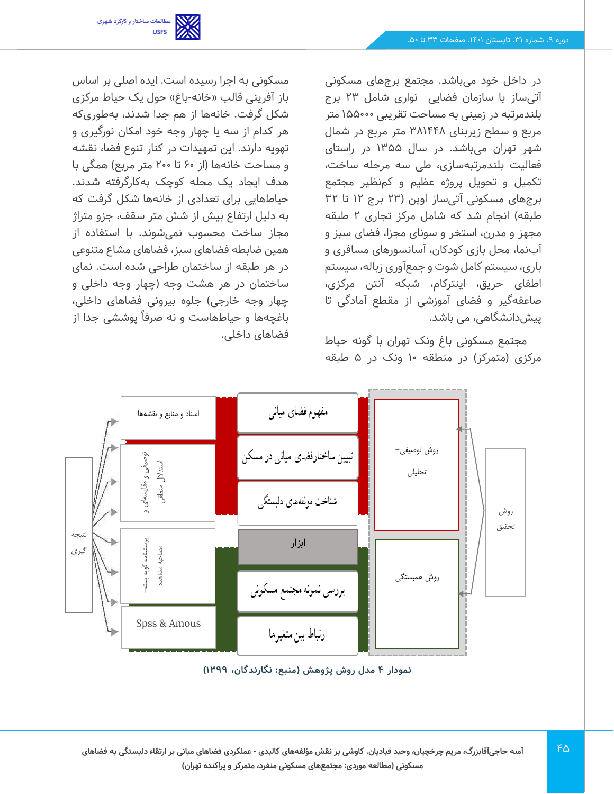

در داخل خود می باشد. مجتمع برج های مسکونی آتی ساز با سازمان فضایی نواری شامل 23 برج بلندمرتبه در زمینی به مساحت تقریبی 155000 متر مربع و سطح زیربنای 381448 متر مربع در شمال شهر تهران می باشد. در سال 1355 در راستای فعالیت بلندمرتبهسازی، طی سه مرحله ساخت، تکمیل و تحویل پروژه عظیم و کم نظیر مجتمع برج های مسکونی آتی ساز اوین )23 برج 12 تا 32 طبقه) انجام شد که شامل مرکز تجاری ۲ طبقه مجهز و مدرن، استخر و سونای مجزا، فضای سبز و آبنما، محل بازی کودکان، آسانسورهای مسافری و باری، سیستم کامل شوت و جمع آوری زباله، سیستم اطفای حریق، اینترکام، شبکه آنتن مرکزی، صاعقه گیر و فضای آموزشی از مقطع آمادگی تا پیش دانشگاهی، می باشد.

مجتمع مسکونی باغ ونک تهران با گونه حیاط مرکزی )متمرکز( در منطقه 10 ونک در 5 طبقه

مسکونی به اجرا رسیده است. ایده اصلی بر اساس باز آفرینی قالب «خانه-باغ» حول یک حیاط مرکزی شکل گرفت. خانه ها از هم جدا شدند، به طوری که هر کدام از سه یا چهار وجه خود امکان نورگیری و تهویه دارند. این تمهیدات در کنار تنوع فضا، نقشه و مساحت خانهها (از ۶۰ تا ۲۰۰ متر مربع) همگی با هدف ایجاد یک محله کوچک به کارگرفته شدند. حیاطهایی برای تعدادی از خانهها شکل گرفت که به دلیل ارتفاع بیش از شش متر سقف، جزو متراژ مجاز ساخت محسوب نمی شوند. با استفاده از همین ضابطه فضاهای سبز، فضاهای مشاع متنوعی در هر طبقه از ساختمان طراحی شده است. نمای ساختمان در هر هشت وجه )چهار وجه داخلی و چهار وجه خارجی) جلوه بیرونی فضاهای داخلی، باغچهها و حیاطهاست و نه صرفاً پوششی جدا از فضاهای داخلی.



**نمودار 4 مدل روش پژوهش )منبع: نگارندگان، 1399(**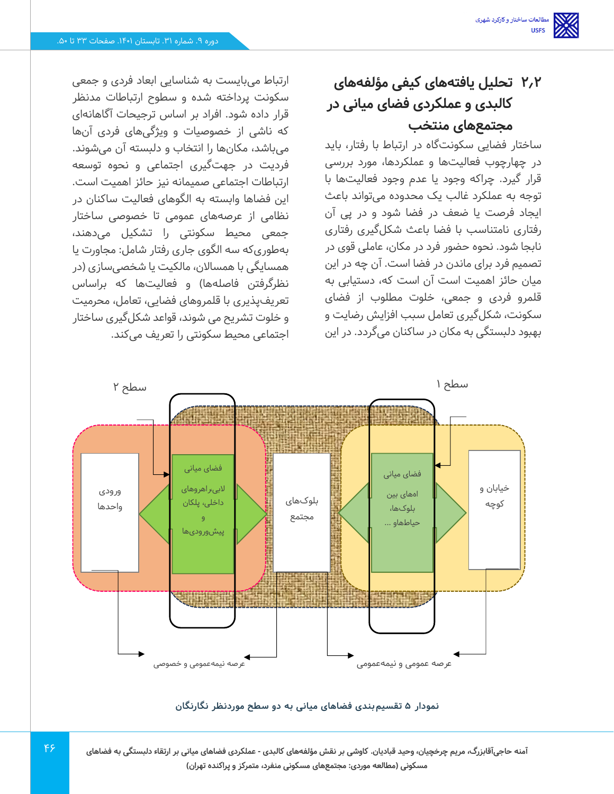# **2.2 تحلیل یافتههای کیفی مؤلفه های کالبدی و عملکردی فضای میانی در مجتمع های منتخب**

ساختار فضایی سکونت گاه در ارتباط با رفتار، باید در چهارچوب فعالیت ها و عملکردها، مورد بررسی قرار گیرد. چراکه وجود یا عدم وجود فعالیت ها با توجه به عملکرد غالب یک محدوده می تواند باعث ایجاد فرصت یا ضعف در فضا شود و در پی آن رفتاری نامتناسب با فضا باعث شکل گیری رفتاری نابجا شود. نحوه حضور فرد در مکان، عاملی قوی در تصمیم فرد برای ماندن در فضا است. آن چه در این میان حائز اهمیت است آن است که، دستیابی به قلمرو فردی و جمعی، خلوت مطلوب از فضای سکونت، شکل گیری تعامل سبب افزایش رضایت و بهبود دلبستگی به مکان در ساکنان می گردد. در این

ارتباط می بایست به شناسایی ابعاد فردی و جمعی سکونت پرداخته شده و سطوح ارتباطات مدنظر قرار داده شود. افراد بر اساس ترجیحات آگاهانه ای که ناشی از خصوصیات و ویژگی های فردی آن ها میباشد، مکان ها را انتخاب و دلبسته آن می شوند. فردیت در جهت گیری اجتماعی و نحوه توسعه ارتباطات اجتماعی صمیمانه نیز حائز اهمیت است. این فضاها وابسته به الگوهای فعالیت ساکنان در نظامی از عرصه های عمومی تا خصوصی ساختار جمعی محیط سکونتی را تشکیل می دهند، بهطوری که سه الگوی جاری رفتار شامل: مجاورت یا همسایگی با همساالن، مالکیت یا شخصی سازی )در نظرگرفتن فاصلهها) و فعالیتها که براساس تعریفپذیری با قلمروهای فضایی، تعامل، محرمیت و خلوت تشریح می شوند، قواعد شکل گیری ساختار اجتماعی محیط سکونتی را تعریف می کند.



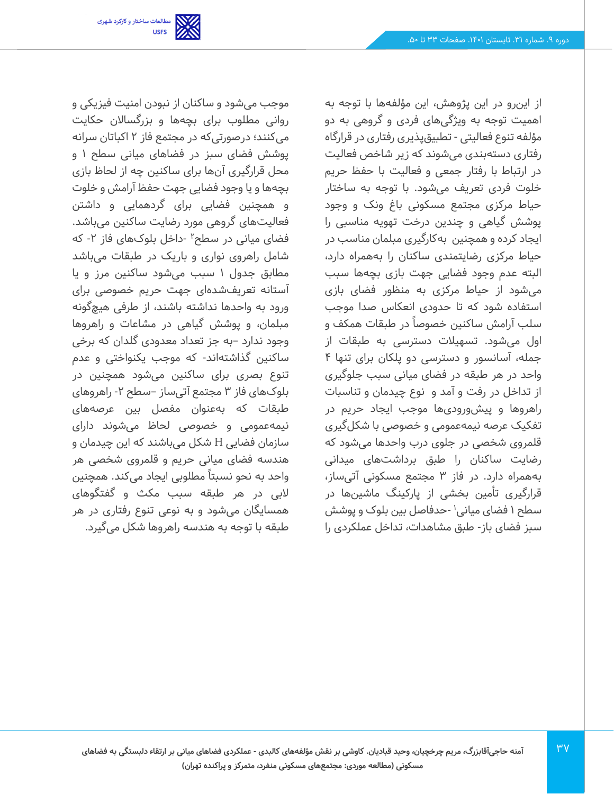مطالعات ساختار و کارکرد شهری **USFS** 

> از این رو در این پژوهش، این مؤلفه ها با توجه به اهمیت توجه به ویژگی های فردی و گروهی به دو مؤلفه تنوع فعالیتی - تطبیقپذیری رفتاری در قرارگاه رفتاری دستهبندی می شوند که زیر شاخص فعالیت در ارتباط با رفتار جمعی و فعالیت با حفظ حریم خلوت فردی تعریف می شود. با توجه به ساختار حیاط مرکزی مجتمع مسکونی باغ ونک و وجود پوشش گیاهی و چندین درخت تهویه مناسبی را ایجاد کرده و همچنین بهکارگیری مبلمان مناسب در حیاط مرکزی رضایتمندی ساکنان را به همراه دارد، البته عدم وجود فضایی جهت بازی بچه ها سبب میشود از حیاط مرکزی به منظور فضای بازی استفاده شود که تا حدودی انعکاس صدا موجب سلب آرامش ساکنین خصوصا ً در طبقات همکف و اول میشود. تسهیالت دسترسی به طبقات از جمله، آسانسور و دسترسی دو پلکان برای تنها 4 واحد در هر طبقه در فضای میانی سبب جلوگیری از تداخل در رفت و آمد و نوع چیدمان و تناسبات راهروها و پیش ورودی ها موجب ایجاد حریم در تفکیک عرصه نیمه عمومی و خصوصی با شکل گیری قلمروی شخصی در جلوی درب واحدها می شود که رضایت ساکنان را طبق برداشت های میدانی بههمراه دارد. در فاز 3 مجتمع مسکونی آتی ساز، قرارگیری تأمین بخشی از پارکینگ ماشین ها در سطح 1 فضای میانی-<sup>1</sup>حدفاصل بین بلوک و پوشش سبز فضای باز - طبق مشاهدات، تداخل عملکردی را

موجب می شود و ساکنان از نبودن امنیت فیزیکی و روانی مطلوب برای بچهها و بزرگساالن حکایت میکنند؛ در صورتی که در مجتمع فاز 2 اکباتان سرانه پوشش فضای سبز در فضاهای میانی سطح 1 و محل قرارگیری آن ها برای ساکنین چه از لحاظ بازی بچه ها و یا وجود فضایی جهت حفظ آرامش و خلوت و همچنین فضایی برای گردهمایی و داشتن فعالیتهای گروهی مورد رضایت ساکنین می باشد. فضای میانی در سطح<sup>۲</sup> -داخل بلوکهای فاز ۲- که شامل راهروی نواری و باریک در طبقات می باشد مطابق جدول 1 سبب می شود ساکنین مرز و یا آستانه تعریفشدهای جهت حریم خصوصی برای ورود به واحدها نداشته باشند، از طرفی هیچ گونه مبلمان، و پوشش گیاهی در مشاعات و راهروها وجود ندارد – به جز تعداد معدودی گلدان که برخی ساکنین گذاشتهاند- که موجب یکنواختی و عدم تنوع بصری برای ساکنین می شود همچنین در بلوک های فاز ۳ مجتمع آتی ساز –سطح ۲- راهروهای طبقات که به عنوان مفصل بین عرصه های نیمهعمومی و خصوصی لحاظ می شوند دارای سازمان فضایی H شکل می باشند که این چیدمان و هندسه فضای میانی حریم و قلمروی شخصی هر واحد به نحو نسبتاً مطلوبی ایجاد میکند. همچنین البی در هر طبقه سبب مکث و گفتگوهای همسایگان می شود و به نوعی تنوع رفتاری در هر طبقه با توجه به هندسه راهروها شکل می گیرد.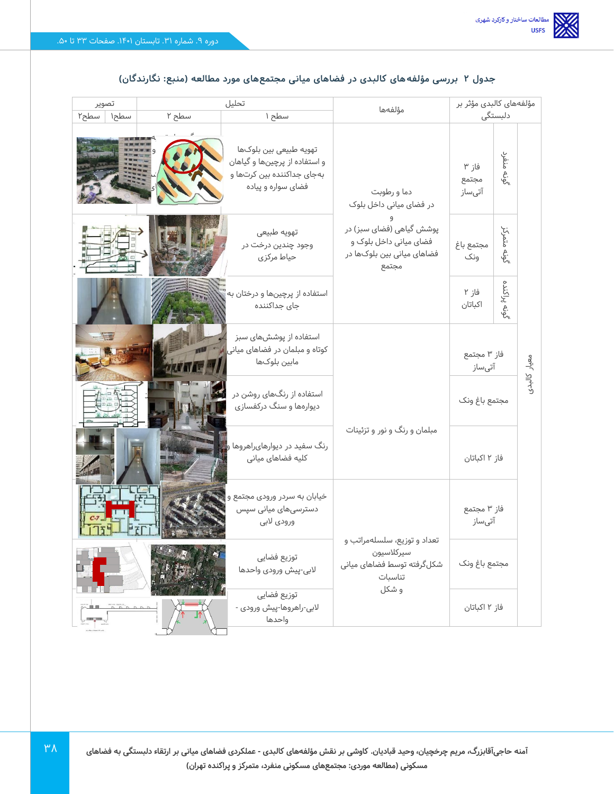| تصوير           |       | تحليل                                                                                                       | مؤلفهها                                                                                     | مؤلَّفەھاي كالبدى مؤثر بر |                   |              |
|-----------------|-------|-------------------------------------------------------------------------------------------------------------|---------------------------------------------------------------------------------------------|---------------------------|-------------------|--------------|
| سطح۲<br>سطح۱    | سطح ۲ | سطح ۱                                                                                                       |                                                                                             | دلبستگی                   |                   |              |
|                 |       | تهويه طبيعى بين بلوكها<br>و استفاده از پرچینها و گیاهان<br>بهجای جداکننده بین کرتها و<br>فضای سواره و پیاده | دما و رطوبت<br>در فضای میانی داخل بلوک                                                      | فاز ۳<br>مجتمع<br>آتىساز  | گونه منفرد        |              |
|                 |       | تهويه طبيعى<br>وجود چندین درخت در<br>حياط مركزى                                                             | پوشش گیاهی (فضای سبز) در<br>فضای میانی داخل بلوک و<br>فضاهای میانی بین بلوکها در<br>مجتمع   | مجتمع باغ<br>ونک          | متمركز<br>ى<br>ئې |              |
|                 |       | استفاده از پرچینها و درختان به<br>جای جداکننده                                                              |                                                                                             | فاز ۲<br>اكباتان          | گونه پراکنده      |              |
| <u>e Neg</u>    |       | استفاده از پوششهای سبز<br>کوتاه و مبلمان در فضاهای میانی ای <sup>. م</sup> الله<br>مابين بلوكھا             |                                                                                             | فاز ۳ مجتمع<br>آتىساز     |                   | معيار كالبدى |
|                 |       | استفاده از رنگ@ای روشن در<br>دیوارهها و سنگ درکفسازی                                                        |                                                                                             | مجتمع باغ ونک             |                   |              |
|                 |       | رنگ سفید در دیوارهایراهروها<br>کلیه فضاهای میانی                                                            | مبلمان و رنگ و نور و تزئینات                                                                | فاز ٢ اكباتان             |                   |              |
|                 |       | خیابان به سردر ورودی مجتمع و<br>دسترسیهای میانی سپس<br>ورودي لابي                                           |                                                                                             | فاز ۳ مجتمع<br>آتىساز     |                   |              |
|                 |       | توزيع فضايى<br>لابى-پيش ورودى واحدها                                                                        | تعداد و توزیع، سلسلهمراتب و<br>سيركلاسيون<br>شكلگرفته توسط فضاهای میانی<br>تناسبات<br>و شکل | مجتمع باغ ونک             |                   |              |
| <b>HILL WAR</b> |       | توزيع فضايى<br>لابی-راهروها-پیش ورودی -<br>واحدها                                                           |                                                                                             | فاز ٢ اكباتان             |                   |              |

### **جدول 2 بررسی مؤلفه های کالبدی در فضاهای میانی مجتمع های مورد مطالعه )منبع: نگارندگان(**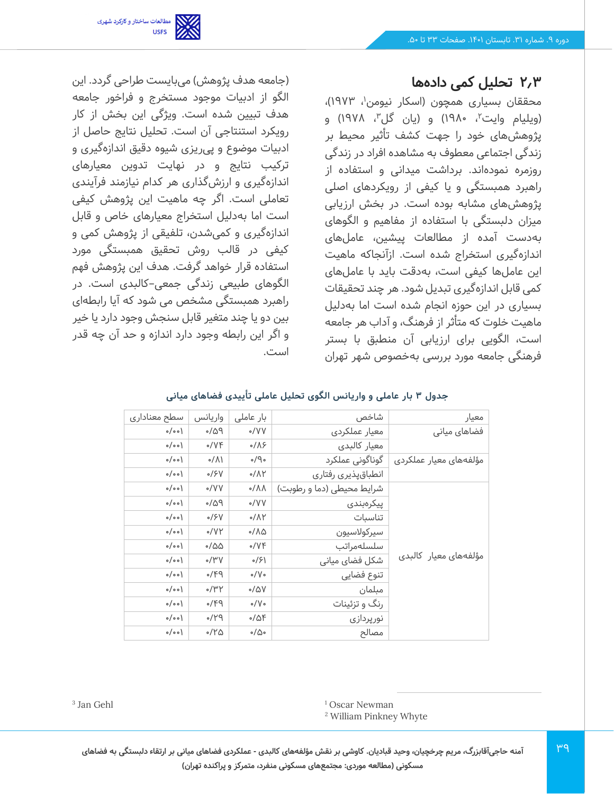

## **2.3 تحلیل کمی داده ها**

محققان بسیاری همچون (اسکار نیومن<sup>י</sup>، ۱۹۷۳)، (ویلیام وایت'، ۱۹۸۰) و (یان گل"، ۱۹۷۸) و پژوهش های خود را جهت کشف تأثیر محیط بر زندگی اجتماعی معطوف به مشاهده افراد در زندگی روزمره نموده اند. برداشت میدانی و استفاده از راهبرد همبستگی و یا کیفی از رویکردهای اصلی پژوهش های مشابه بوده است. در بخش ارزیابی میزان دلبستگی با استفاده از مفاهیم و الگوهای بهدست آمده از مطالعات پیشین، عاملهای اندازهگیری استخراج شده است. ازآنجاکه ماهیت این عامل ها کیفی است، به دقت باید با عامل های کمی قابل اندازهگیری تبدیل شود. هر چند تحقیقات بسیاری در این حوزه انجام شده است اما به دلیل ماهیت خلوت که متأثر از فرهنگ، و آداب هر جامعه است، الگویی برای ارزیابی آن منطبق با بستر فرهنگی جامعه مورد بررسی بهخصوص شهر تهران

)جامعه هدف پژوهش( می بایست طراحی گردد. این الگو از ادبیات موجود مستخرج و فراخور جامعه هدف تبیین شده است. ویژگی این بخش از کار رویکرد استنتاجی آن است. تحلیل نتایج حاصل از ادبیات موضوع و پی ریزی شیوه دقیق اندازهگیری و ترکیب نتایج و در نهایت تدوین معیارهای اندازهگیری و ارزش گذاری هر کدام نیازمند فرآیندی تعاملی است. اگر چه ماهیت این پژوهش کیفی است اما به دلیل استخراج معیارهای خاص و قابل اندازهگیری و کمی شدن، تلفیقی از پژوهش کمی و کیفی در قالب روش تحقیق همبستگی مورد استفاده قرار خواهد گرفت. هدف این پژوهش فهم الگوهای طبیعی زندگی جمعی–کالبدی است. در راهبرد همبستگی مشخص می شود که آیا رابطه ای بین دو یا چند متغیر قابل سنجش وجود دارد یا خیر و اگر این رابطه وجود دارد اندازه و حد آن چه قدر است.

| جدول ۳ بار عاملی و واریانس الگوی تحلیل عاملی تاییدی فضاهای میانی |  |  |  |
|------------------------------------------------------------------|--|--|--|
|                                                                  |  |  |  |

| معيار                  | شاخص                      | بار عاملی               | واريانس                  | سطح معناداري |
|------------------------|---------------------------|-------------------------|--------------------------|--------------|
| فضاهای میانی           | معيار عملكردي             | $\circ$ /VV             | $P\Delta\backslash\circ$ | o/o o        |
|                        | معيار كالبدى              | $0/\lambda$ ۶           | $\circ / \vee \circ$     | o/o o)       |
| مؤلفەھای معیار عملکردی | گوناگونی عملکرد           | $\circ$ /9 $\circ$      | $\sqrt{\Lambda}$         | o/o o)       |
|                        | انطباقپذیری رفتاری        | $\sqrt{\Lambda}$        | 0/5V                     | o/o          |
|                        | شرایط محیطی (دما و رطوبت) | $0/\Lambda\Lambda$      | $\circ$ /VV              | o/o o)       |
|                        | پیکرەبندى                 | $\circ$ /VV             | PA                       | o/o o)       |
|                        | تناسبات                   | $\sqrt{\Lambda}$        | 0/5V                     | o/o o)       |
|                        | سيركولاسيون               | 7۷٥-                    | $\circ$ / $\vee$ Y       | o/o o)       |
|                        | سلسلەمراتب                | $\circ$ /VF             | $0/\Delta\Delta$         | o/o o        |
| مؤلفەھاي معيار  كالبدى | شکل فضای میانی            | $\circ$ /۶۱             | $\sqrt{\mu V}$           | o/o o        |
|                        | تنوع فضايى                | $\circ/\vee \circ$      | 99                       | o/o o)       |
|                        | مبلمان                    | $\circ/\Delta V$        | $\gamma$ ۳۲              | o/o o)       |
|                        | رنگ و تزئینات             | $\circ/\vee \circ$      | 99                       | o/o o        |
|                        | نورپردازی                 | $0/\Delta f$            | $PY\backslash$           | o/o          |
|                        | مصالح                     | $\circ/\triangle \circ$ | 0/10                     | o/o o        |

<sup>1</sup> Oscar Newman

<sup>2</sup> William Pinkney Whyte

3 Jan Gehl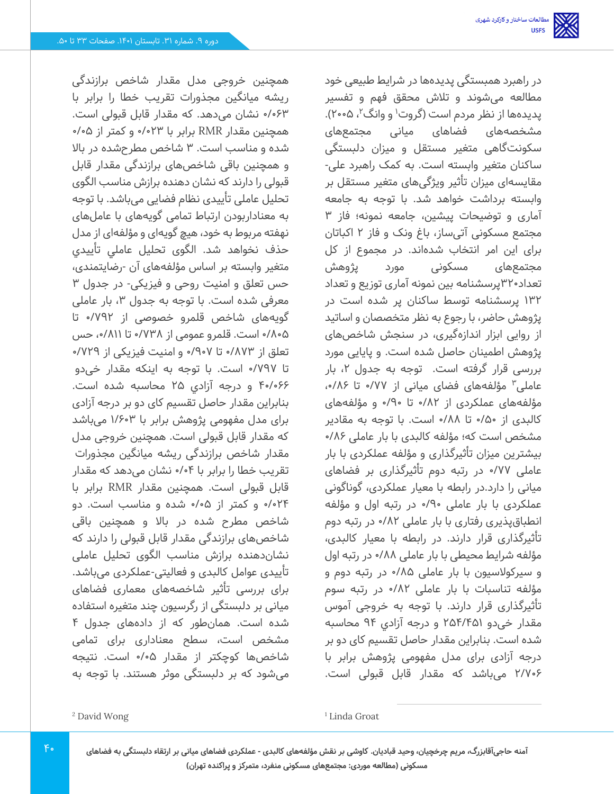همچنین خروجی مدل مقدار شاخص برازندگی ریشه میانگین مجذورات تقریب خطا را برابر با 0/063 نشان می دهد. که مقدار قابل قبولی است. همچنین مقدار RMR برابر با 0/023 و کمتر از 0/05 شده و مناسب است. 3 شاخص مطرح شده در باال و همچنین باقی شاخص های برازندگی مقدار قابل قبولی را دارند که نشان دهنده برازش مناسب الگوی تحلیل عاملی تأییدی نظام فضایی می باشد. با توجه به معناداربودن ارتباط تمامی گویه های با عامل های نهفته مربوط به خود، هیچ گویهای و مؤلفهای از مدل حذف نخواهد شد. الگوی تحليل عاملي تأیيدي متغیر وابسته بر اساس مؤلفههای آن -رضایتمندی، حس تعلق و امنیت روحی و فیزیکی- در جدول 3 معرفی شده است. با توجه به جدول ۳، بار عاملی گویه های شاخص قلمرو خصوصی از 0/792 تا 0/805 است. قلمرو عمومی از 0/738 تا /811 ،0 حس تعلق از /873 0 تا /907 0 و امنیت فیزیکی از /729 0 تا 0/797 است. با توجه به اینکه مقدار خی دو 40/066 و درجه آزادي 25 محاسبه شده است. بنابراین مقدار حاصل تقسیم کای دو بر درجه آزادی برای مدل مفهومی پژوهش برابر با 1/603 می باشد که مقدار قابل قبولی است. همچنین خروجی مدل مقدار شاخص برازندگی ریشه میانگین مجذورات تقریب خطا را برابر با 0/04 نشان می دهد که مقدار قابل قبولی است. همچنین مقدار RMR برابر با /024 0 و کمتر از 0/05 شده و مناسب است. دو شاخص مطرح شده در باال و همچنین باقی شاخصهای برازندگی مقدار قابل قبولی را دارند که نشان دهنده برازش مناسب الگوی تحلیل عاملی تأییدی عوامل کالبدی و فعالیتی-عملکردی می باشد. برای بررسی تأثیر شاخصههای معماری فضاهای میانی بر دلبستگی از رگرسیون چند متغیره استفاده شده است. همان طور که از داده های جدول 4 مشخص است، سطح معناداری برای تمامی شاخصها کوچکتر از مقدار 0/05 است. نتیجه میشود که بر دلبستگی موثر هستند. با توجه به در راهبرد همبستگی پدیده ها در شرایط طبیعی خود مطالعه میشوند و تالش محقق فهم و تفسیر پدیدهها از نظر مردم است (گروت<sup>۱</sup> و وانگ<sup>۲</sup>، ۲۰۰۵). مشخصه های فضاهای میانی مجتمع های سکونت گاهی متغیر مستقل و میزان دلبستگی ساکنان متغیر وابسته است. به کمک راهبرد علی - مقایسه ای میزان تأثیر ویژگی های متغیر مستقل بر وابسته برداشت خواهد شد. با توجه به جامعه آماری و توضیحات پیشین، جامعه نمونه؛ فاز 3 مجتمع مسکونی آتی ساز، باغ ونک و فاز 2 اکباتان برای این امر انتخاب شده اند. در مجموع از کل مجتمع های مسکونی مورد پژوهش تعداد320پرسشنامه بین نمونه آماری توزیع و تعداد 132 پرسشنامه توسط ساکنان پر شده است در پژوهش حاضر، با رجوع به نظر متخصصان و اساتید از روایی ابزار اندازهگیری، در سنجش شاخص های پژوهش اطمینان حاصل شده است. و پایایی مورد بررسی قرار گرفته است. توجه به جدول ۲، بار عاملی ؓ مؤلفههای فضای میانی از ۷۷/۰ تا ۸۶/۰، مؤلفههای عملکردی از /82 0 تا /90 0 و مؤلفه های کالبدی از 0/50 تا 0/88 است. با توجه به مقادیر مشخص است که؛ مؤلفه کالبدی با بار عاملی 0/86 بیشترین میزان تأثیرگذاری و مؤلفه عملکردی با بار عاملی 0/77 در رتبه دوم تأثیرگذاری بر فضاهای میانی را دارد.در رابطه با معیار عملکردی، گوناگونی عملکردی با بار عاملی 0/90 در رتبه اول و مؤلفه انطباقپذیری رفتاری با بار عاملی 0/82 در رتبه دوم تأثیرگذاری قرار دارند. در رابطه با معیار کالبدی، مؤلفه شرایط محیطی با بار عاملی 0/88 در رتبه اول و سیرکوالسیون با بار عاملی 0/85 در رتبه دوم و مؤلفه تناسبات با بار عاملی 0/82 در رتبه سوم تأثیرگذاری قرار دارند. با توجه به خروجی آموس مقدار خی دو /451 254 و درجه آزادي 94 محاسبه شده است. بنابراین مقدار حاصل تقسیم کای دو بر درجه آزادی برای مدل مفهومی پ ژوهش برابر با 2/706 می باشد که مقدار قابل قبولی است.

<sup>2</sup> David Wong

<sup>1</sup> Linda Groat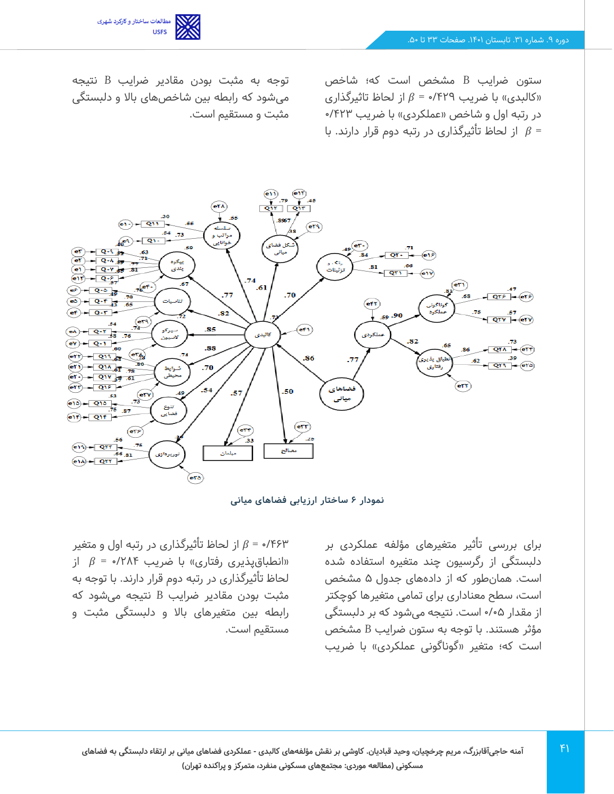

ستون ضرایب *B* مشخص است که؛ شاخص رکالبدی» با ضریب ۲۲۹/۰ =  $\beta$  از لحاظ تاثیرگذاری  $\beta$ در رتبه اول و شاخص «عملکردی» با ضریب ۴۲۳/۰ از لحاظ تأثیرگذاری در رتبه دوم قرار دارند. با  $\beta$  =

توجه به مثبت بودن مقادیر ضرایب *B* نتیجه میشود که رابطه بین شاخصهای باال و دلبستگی مثبت و مستقیم است.



**نمودار 6 ساختار ارزیابی فضاهای میانی** 

برای بررسی تأثیر متغیرهای مؤلفه عملکردی بر دلبستگی از رگرسیون چند متغیره استفاده شده است. همان طور که از داده های جدول 5 مشخص است، سطح معناداری برای تمامی متغیرها کوچکتر از مقدار 0/05 است. نتیجه می شود که بر دلبستگی مؤثر هستند. با توجه به ستون ضرایب *B* مشخص است که؛ متغیر «گوناگونی عملکردی» با ضریب

ور رتبه اول و متغیر  $\beta$  = 6 از لحاظ تأثیرگذاری در رتبه اول و متغیر $\beta$  =  $\beta$ انطباق $\beta = \beta - N$ ۸۴ نطباقپذیری رفتاری» با ضریب ۷۸۴/۰ =  $\beta$  از لحاظ تأثیرگذاری در رتبه دوم قرار دارند. با توجه به مثبت بودن مقادیر ضرایب *B* نتیجه می شود که رابطه بین متغیرهای باال و دلبستگی مثبت و مستقیم است.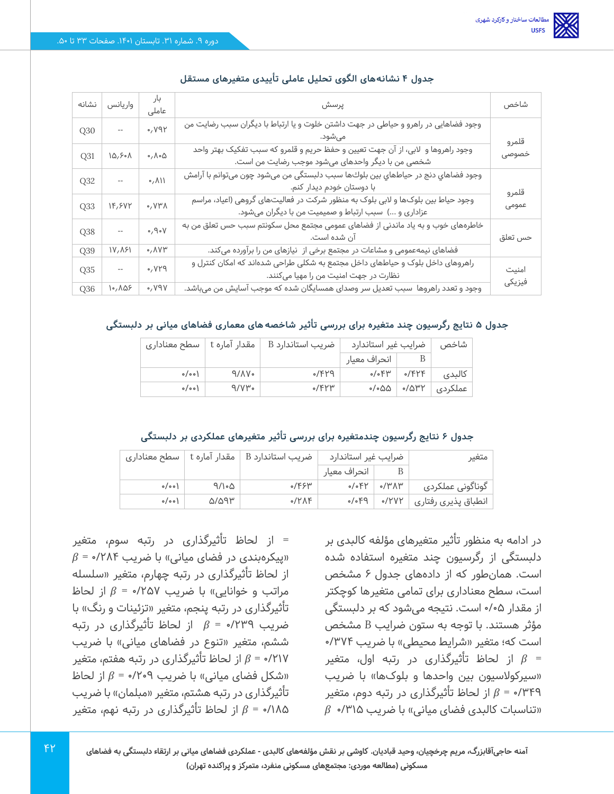| نشانه           | واريانس           | بار<br>عاملی         | پرسش                                                                                                                                    | شاخص    |
|-----------------|-------------------|----------------------|-----------------------------------------------------------------------------------------------------------------------------------------|---------|
| Q30             | $-$               | $\cdot$ , $V9Y$      | وجود فضاهایی در راهرو و حیاطی در جهت داشتن خلوت و یا ارتباط با دیگران سبب رضایت من                                                      | قلمرو   |
| Q31             | 10,90             | ۰٫۸۰۵                | وجود راهروها و لابی، از آن جهت تعیین و حفظ حریم و قلمرو که سبب تفکیک بهتر واحد<br>شخصی من با دیگر واحدهای میشود موجب رضایت من است.      | حصوصى   |
| Q <sub>32</sub> |                   | $\circ$ , $\wedge$ ) | وجود فضاهاي دنج در حياطهاي بين بلوكها سبب دلبستگي من ميشود چون ميتوانم با آرامش<br>با دوستان خودم دیدار کنم.                            | قلمرو   |
| Q33             | 14,844            | $\alpha$ , $V^{\mu}$ | وجود حیاط بین بلوکھا و لابی بلوک به منظور شرکت در فعالیتهای گروهی (اعیاد، مراسم<br>عزاداری و )  سبب ارتباط و صمیمیت من با دیگران میشود. | عمومى   |
| Q38             | $\qquad \qquad -$ | $V \circ P, \circ V$ | خاطرههای خوب و به یاد ماندنی از فضاهای عمومی مجتمع محل سکونتم سبب حس تعلق من به<br>آن شده است.                                          | حس تعلق |
| O39             | $ V, \Lambda$ ۶۱  | ۰٫۸۷۳                | فضاهای نیمهعمومی و مشاعات در مجتمع برخی از  نیازهای من را برآورده میکند.                                                                |         |
| Q35             | $\qquad \qquad -$ | $P$ YYY              | راهروهای داخل بلوک و حیاطهای داخل مجتمع به شکلی طراحی شدهاند که امکان کنترل و<br>نظارت در جهت امنیت من را مهیا میکنند.                  | امنیت   |
| Q36             | ۱۰٬۸۵۶            | $\circ$ , $V9V$      | وجود و تعدد راهروها  سبب تعدیل سر وصدای همسایگان شده که موجب آسایش من میباشد.                                                           | فيزيكى  |

#### **جدول 4 نشانه های الگوی تحلیل عاملی تأییدی متغیرهای مستقل**

#### **جدول 5 نتایج رگرسیون چند متغیره برای بررسی تأثیر شاخصه های معماری فضاهای میانی بر دلبستگی**

| سطح معناداري | مقدار آماره t     | ضریب استاندارد B | ضرایب غیر استاندارد |        | شاخص    |
|--------------|-------------------|------------------|---------------------|--------|---------|
|              |                   |                  | انحراف معيار        |        |         |
| o/o o)       | $9/1$ V $\circ$   | $\gamma$ ۴۲۹     | $\circ/\circ$ ۴۳    | 0/FYF  | كالېدى  |
| o/o o)       | 9/VP <sub>o</sub> | 0/FYY            | •/•దద               | 7۳۳ه/∘ | عملکردی |

**جدول 6 نتایج رگرسیون چندمتغیره برای بررسی تأثیر متغیرهای عملکردی بر دلبستگی** 

| سطح معناداری | مقدار آماره t | ضریب استاندارد B | ضرایب غیر استاندارد  |            | متغير               |
|--------------|---------------|------------------|----------------------|------------|---------------------|
|              |               |                  | انحراف معيار         |            |                     |
| o/o o)       | 9/10          | $\circ$ /۴۶۳     | $0/0$ $\uparrow$     | $\sqrt{M}$ | گوناگونی عملکردی    |
| o/o o)       | ۹۳۵/۵         | $0/4\pi$         | $\circ$ / $\circ$ ۴9 | 0/YYY      | انطباق پذیری رفتاری |

در ادامه به منظور تأثیر متغیرهای مؤلفه کالبدی بر دلبستگی از رگرسیون چند متغیره استفاده شده است. همان طور که از داده های جدول 6 مشخص است، سطح معناداری برای تمامی متغیرها کوچکتر از مقدار 0/05 است. نتیجه می شود که بر دلبستگی مؤثر هستند. با توجه به ستون ضرایب *B* مشخص است که؛ متغیر «شرایط محیطی» با ضریب ۳۷۴/۰ از لحاظ تأثیرگذاری در رتبه اول، متغیر  $\beta =$ «سیرکولاسیون بین واحدها و بلوکها» با ضریب و ۱۳۴۹  $\beta$  از لحاظ تأثیرگذاری در رتبه دوم، متغیر $\beta$  = ۵/۳۴۹  $\beta$  «تناسبات کالبدی فضای میانی» با ضریب ۱۵۵ $\beta$ ۰/۳۱

= از لحاظ تأثیرگذاری در رتبه سوم، متغیر  $\beta = \gamma Y \wedge Y$ ه بندی در فضای میانی» با ضریب ۲۸۴/۰ =  $\beta$ از لحاظ تأثیرگذاری در رتبه چهارم، متغیر »سلسله مراتب و خوانایی» با ضریب ۰/۲۵۷ =  $\beta$  از لحاظ تأثیرگذاری در رتبه پنجم، متغیر «تزئینات و رنگ» با ضریب ۲۳۹/۰ =  $\beta$  از لحاظ تأثیرگذاری در رتبه ششم، متغیر «تنوع در فضاهای میانی» با ضریب ار لحاظ تأثیرگذاری در رتبه هفتم، متغیر  $\beta$  = 6/۲۱۷ «شکل فضای میانی» با ضریب ۰/۲۰۹ =  $\beta$  از لحاظ تأثیرگذاری در رتبه هشتم، متغیر «مبلمان» با ضریب از لحاظ تأثیرگذاری در رتبه نهم، متغیر /1۸۵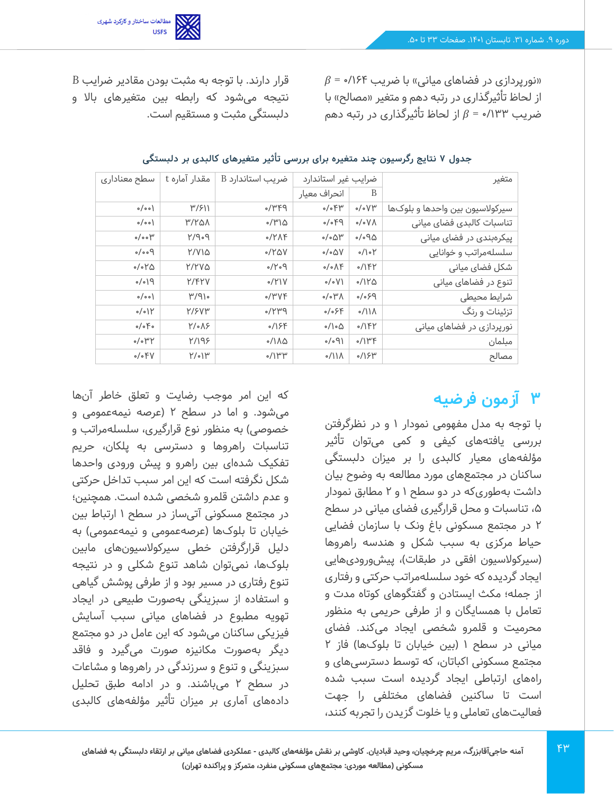

 $\beta$  = ۰/۱۶۴ (مورپردازی در فضاهای میانی» با ضریب از لحاظ تأثیرگذاری در رتبه دهم و متغیر «مصالح» با ضریب ۱۳۳'/۰ =  $\beta$  از لحاظ تأثیرگذاری در رتبه دهم

قرار دارند. با توجه به مثبت بودن مقادیر ضرایب *B* نتیجه می شود که رابطه بین متغیرهای باال و دلبستگی مثبت و مستقیم است.

| متغير                           |                           | ضرایب غیر استاندارد        | ضریب استاندارد B | مقدار آماره t      | سطح معناداري            |
|---------------------------------|---------------------------|----------------------------|------------------|--------------------|-------------------------|
|                                 | B                         | انحراف معيار               |                  |                    |                         |
| سيركولاسيون بين واحدها و بلوکها | $\circ$ / $\circ$ V۳      | $\circ/\circ$ ۴۳           | 974              | ۳/۶۱۱              | o/o o)                  |
| تناسبات كالبدى فضاى ميانى       | $\circ/\circ \vee \wedge$ | $\rho$ 9%                  | ۱۳۱۵ه            | <b>MYYAN</b>       | o/o o)                  |
| پیکرهبندی در فضای میانی         | 0.90                      | $\circ/\circ\Delta$ ۳      | 0/17             | $P$ $P$            | $\circ/\circ \circ \mu$ |
| سلسلهمراتب و خوانایی            | $\circ$ / $\circ$ Y       | $\circ/\circ\Delta V$      | 0/10V            | ۲/۷۱۵              | $P$ oo/o                |
| شکل فضای میانی                  | $0/1$ ۴۲                  | 0/0                        | $P^{\sigma}Y$    | Y/YVQ              | 0/0                     |
| تنوع در فضاهای میانی            | $0/11$ $\Delta$           | $\circ/\circ V$            | 0/Y              | Y/FYV              | $P/\circ$               |
| شرايط محيطى                     | $P_{8}$                   | $\wedge^{\omega}$          | $\mathcal{N}$    | $P/P\$             | o/o o)                  |
| تزئینات و رنگ                   | $\frac{1}{2}$             | 0/055                      | $P^{\mu}Y$       | Y/SVY              | 0/0                     |
| نورپردازی در فضاهای میانی       | $0/1$ $FP$                | $\circ$ / $\circ$ $\Delta$ | $\circ$ /18۴     | $Y/\circ\Lambda$ ۶ | $\circ/\circ$ Fo        |
| مبلمان                          | $\circ$ /۱۳۴              | $\sqrt{P_o}$               | 7١٧٥ ه           | 4/198              | $\circ/\circ$ ۳۲        |
| مصالح                           | $\frac{1}{2}$             | $\frac{1}{2}$              | $\gamma$ ۱۳۳     | $Y/\circ Y''$      | $\circ/\circ$ FV        |

#### **جدول 7 نتایج رگرسیون چند متغیره برای بررسی تأثیر متغیرهای کالبدی بر دلبستگی**

# **3 آزمون فرضیه**

با توجه به مدل مفهومی نمودار 1 و در نظرگرفتن بررسی یافته های کیفی و کمی می توان تأثیر مؤلفههای معیار کالبدی را بر میزان دلبستگی ساکنان در مجتمع های مورد مطالعه به وضوح بیان داشت بهطوری که در دو سطح 1 و 2 مطابق نمودار ،5 تناسبات و محل قرارگیری فضای میانی در سطح 2 در مجتمع مسکونی باغ ونک با سازمان فضایی حیاط مرکزی به سبب شکل و هندسه راهروها (سیرکولاسیون افقی در طبقات)، پیش ورودی هایی ایجاد گردیده که خود سلسلهمراتب حرکتی و رفتاری از جمله؛ مکث ایستادن و گفتگوهای کوتاه مدت و تعامل با همسایگان و از طرفی حریمی به منظور محرمیت و قلمرو شخصی ایجاد می کند. فضای میانی در سطح ۱ (بین خیابان تا بلوکها) فاز ۲ مجتمع مسکونی اکباتان، که توسط دسترسی های و راههای ارتباطی ایجاد گردیده است سبب شده است تا ساکنین فضاهای مختلفی را جهت فعالیتهای تعاملی و یا خلوت گزیدن را تجربه کنند،

که این امر موجب رضایت و تعلق خاطر آن ها میشود. و اما در سطح ۲ (عرصه نیمهعمومی و خصوصی) به منظور نوع قرارگیری، سلسلهمراتب و تناسبات راهروها و دسترسی به پلکان، حریم تفکیک شده ای بین راهرو و پیش ورودی واحدها شکل نگرفته است که این امر سبب تداخل حرکتی و عدم داشتن قلمرو شخصی شده است. همچنین؛ در مجتمع مسکونی آتی ساز در سطح 1 ارتباط بین خیابان تا بلوکها (عرصهعمومی و نیمهعمومی) به دلیل قرارگرفتن خطی سیرکوالسیون های مابین بلوک ها، نمی توان شاهد تنوع شکلی و در نتیجه تنوع رفتاری در مسیر بود و از طرفی پوشش گیاهی و استفاده از سبزینگی به صورت طبیعی در ایجاد تهویه مطبوع در فضاهای میانی سبب آسایش فیزیکی ساکنان می شود که این عامل در دو مجتمع دیگر به صورت مکانیزه صورت می گیرد و فاقد سبزینگی و تنوع و سرزندگی در راهروها و مشاعات در سطح 2 می باشند. و در ادامه طبق تحلیل داده های آماری بر میزان تأثیر مؤلفههای کالبدی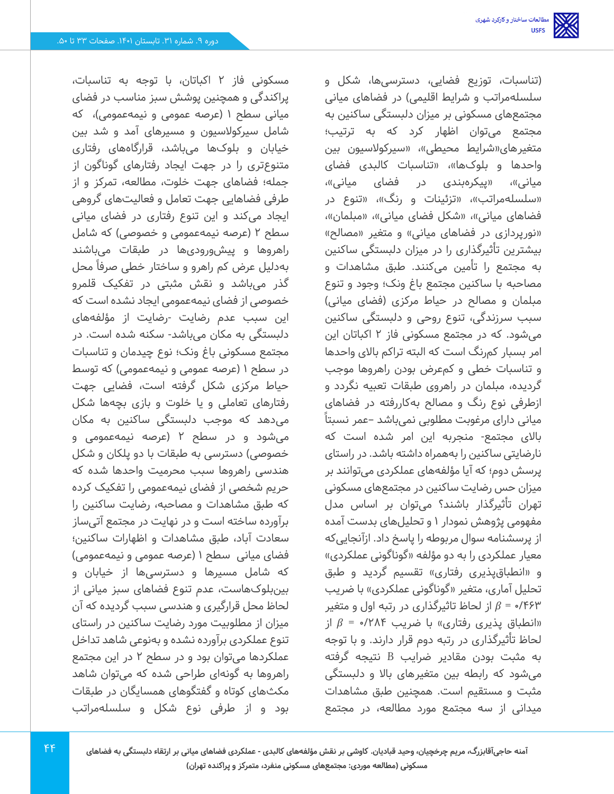)تناسبات، توزیع فضایی، دسترسی ها، شکل و سلسلهمراتب و شرایط اقلیمی) در فضاهای میانی مجتمع های مسکونی بر میزان دلبستگی ساکنین به مجتمع می توان اظهار کرد که به ترتیب؛ متغیرهای«شرایط محیطی»، «سیرکولاسیون بین واحدها و بلوکها»، «تناسبات کالبدی فضای میانی»، «پیکرهبندی در فضای میانی»، «سلسلهمراتب»، «تزئینات و رنگ»، «تنوع در فضاهای میانی»، «شکل فضای میانی»، «مبلمان»، «نورپردازی در فضاهای میانی» و متغیر «مصالح» بیشترین تأثیرگذاری را در میزان دلبستگی ساکنین به مجتمع را تأمین می کنند. طبق مشاهدات و مصاحبه با ساکنین مجتمع باغ ونک؛ وجود و تنوع مبلمان و مصالح در حیاط مرکزی (فضای میانی) سبب سرزندگی، تنوع روحی و دلبستگی ساکنین میشود. که در مجتمع مسکونی فاز 2 اکباتان این امر بسبار کم رنگ است که البته تراکم باالی واحدها و تناسبات خطی و کمعرض بودن راهروها موجب گردیده، مبلمان در راهروی طبقات تعبیه نگردد و ازطرفی نوع رنگ و مصالح بهکاررفته در فضاهای میانی دارای مرغوبت مطلوبی نمی باشد –عمر نسبتا ً باالی مجتمع - منجربه این امر شده است که نارضایتی ساکنین را به همراه داشته باشد. در راستای پرسش دوم؛ که آیا مؤلفه های عملکردی می توانند بر میزان حس رضایت ساکنین در مجتمع های مسکونی تهران تأثیرگذار باشند؟ میتوان بر اساس مدل مفهومی پژوهش نمودار 1 و تحلیلهای بدست آمده از پرسشنامه سوال مربوطه را پاسخ داد. ازآنجایی که معیار عملکردی را به دو مؤلفه »گوناگونی عملکردی« و «انطباقپذیری رفتاری» تقسیم گردید و طبق تحلیل آماری، متغیر «گوناگونی عملکردی» با ضریب ول و متغیر  $\beta$ 3/57 =  $\beta$  از لحاظ تاثیرگذاری در رتبه اول و متغیر انطباق پذیری رفتاری» با ضریب ۲۸۴/۰ =  $\beta$  از لحاظ تأثیرگذاری در رتبه دوم قرار دارند. و با توجه به مثبت بودن مقادیر ضرایب *B* نتیجه گرفته میشود که رابطه بین متغیرهای باال و دلبستگی مثبت و مستقیم است. همچنین طبق مشاهدات میدانی از سه مجتمع مورد مطالعه، در مجتمع

مسکونی فاز 2 اکباتان، با توجه به تناسبات، پراکندگی و همچنین پوشش سبز مناسب در فضای میانی سطح ۱ (عرصه عمومی و نیمه عمومی)، که شامل سیرکوالسیون و مسیرهای آمد و شد بین خیابان و بلوک ها می باشد، قرارگاههای رفتاری متنوعتری را در جهت ایجاد رفتارهای گوناگون از جمله؛ فضاهای جهت خلوت، مطالعه، تمرکز و از طرفی فضاهایی جهت تعامل و فعالیت های گروهی ایجاد می کند و این تنوع رفتاری در فضای میانی سطح ۲ (عرصه نیمهعمومی و خصوصی) که شامل راهروها و پیش ورودی ها در طبقات می باشند دلیل عرض کم راهرو و ساختار خطی صرفا ً به محل گذر می باشد و نقش مثبتی در تفکیک قلمرو خصوصی از فضای نیمه عمومی ایجاد نشده است که این سبب عدم رضایت - رضایت از مؤلفه های دلبستگی به مکان می باشد- سکنه شده است. در مجتمع مسکونی باغ ونک؛ نوع چیدمان و تناسبات در سطح ۱ (عرصه عمومی و نیمهعمومی) که توسط حیاط مرکزی شکل گرفته است، فضایی جهت رفتارهای تعاملی و یا خلوت و بازی بچه ها شکل میدهد که موجب دلبستگی ساکنین به مکان میشود و در سطح 2 )عرصه نیمه عمومی و خصوصی) دسترسی به طبقات با دو پلکان و شکل هندسی راهروها سبب محرمیت واحدها شده که حریم شخصی از فضای نیمهعمومی را تفکیک کرده که طبق مشاهدات و مصاحبه، رضایت ساکنین را برآورده ساخته است و در نهایت در مجتمع آتی ساز سعادت آباد، طبق مشاهدات و اظهارات ساکنین؛ فضای میانی سطح ۱ (عرصه عمومی) که شامل مسیرها و دسترسیها از خیابان و بینبلوک هاست، عدم تنوع فضاهای سبز میانی از لحاظ محل قرارگیری و هندسی سبب گردیده که آن میزان از مطلوبیت مورد رضایت ساکنین در راستای تنوع عملکردی برآورده نشده و بهنوعی شاهد تداخل عملکردها می توان بود و در سطح 2 در این مجتمع راهروها به گونهای طراحی شده که میتوان شاهد مکثهای کوتاه و گفتگوهای همسایگان در طبقات بود و از طرفی نوع شکل و سلسلهمراتب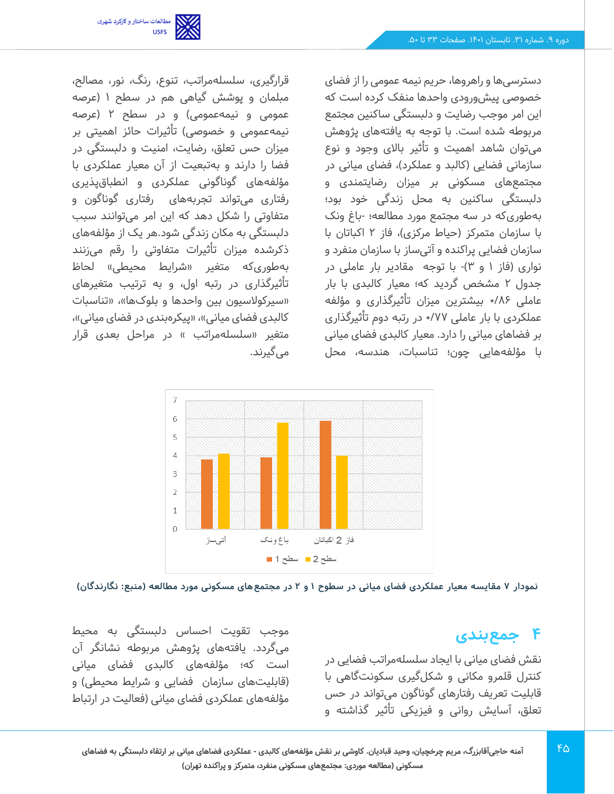

دسترسی ها و راهروها، حریم نیمه عمومی را از فضای خصوصی پیشورودی واحدها منفک کرده است که این امر موجب رضایت و دلبستگی ساکنین مجتمع مربوطه شده است. با توجه به یافتههای پژوهش میتوان شاهد اهمیت و تأثیر باالی وجود و نوع سازمانی فضایی )کالبد و عملکرد(، فضای میانی در مجتمع های مسکونی بر میزان رضایتمندی و دلبستگی ساکنین به محل زندگی خود بود؛ بهطوری که در سه مجتمع مورد مطالعه؛ -باغ ونک با سازمان متمرکز )حیاط مرکزی(، فاز 2 اکباتان با سازمان فضایی پراکنده و آتی ساز با سازمان منفرد و نواری (فاز ۱ و ۳)- با توجه ًمقادیر بار عاملی در جدول 2 مشخص گردید که؛ معیار کالبدی با بار عاملی /86 0 بیشترین میزان تأثیرگذاری و مؤلفه عملکردی با بار عاملی 0/77 در رتبه دوم تأثیرگذاری بر فضاهای میانی را دارد. معیار کالبدی فضای میانی با مؤلفههایی چون؛ تناسبات، هندسه، محل

قرارگیری، سلسلهمراتب، تنوع، رنگ، نور، مصالح، مبلمان و پوشش گیاهی هم در سطح 1 )عرصه عمومی و نیمهءمومی) و در سطح ۲ (عرصه نیمهعمومی و خصوصی) تأثیرات حائز اهمیتی بر میزان حس تعلق، رضایت، امنیت و دلبستگی در فضا را دارند و به تبعیت از آن معیار عملکردی با مؤلفههای گوناگونی عملکردی و انطباق پذیری رفتاری میتواند تجربه های رفتاری گوناگون و متفاوتی را شکل دهد که این امر می توانند سبب دلبستگی به مکان زندگی شود.هر یک از مؤلفه های ذکرشده میزان تأثیرات متفاوتی را رقم می زنند بهطوری *ک*ه متغیر «شرایط محیطی» لحاظ تأثیرگذاری در رتبه اول، و به ترتیب متغیرهای «سیرکولاسیون بین واحدها و بلوکها»، «تناسبات کالبدی فضای میانی«، »پیکره بندی در فضای میانی«، متغیر «سلسلهمراتب » در مراحل بعدی قرار میگیرند.



**نمودار 7 مقایسه معیار عملکردی فضای میانی در سطوح 1 و 2 در مجتمع های مسکونی مورد مطالعه )منبع: نگارندگان(** 

## **4 جمعبندی**

نقش فضای میانی با ایجاد سلسلهمراتب فضایی در کنترل قلمرو مکانی و شکل گیری سکونت گاهی با قابلیت تعریف رفتارهای گوناگون می تواند در حس تعلق، آسایش روانی و فیزیکی تأثیر گذاشته و

موجب تقویت احساس دلبستگی به محیط میگردد. یافته های پژوهش مربوطه نشانگر آن است که؛ مؤلفه های کالبدی فضای میانی (قابلیتهای سازمان ًفضایی و شرایط محیطی) و مؤلفههای عملکردی فضای میانی )فعالیت در ارتباط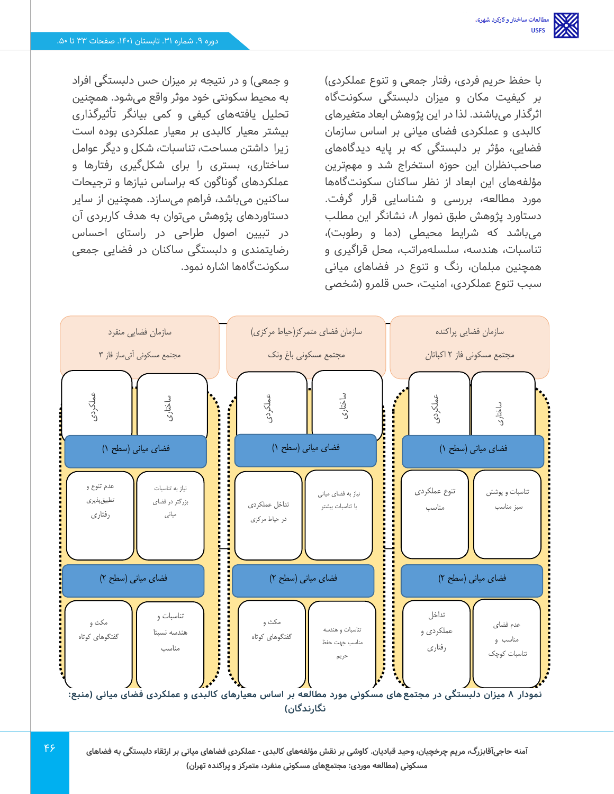با حفظ حریم فردی، رفتار جمعی و تنوع عملکردی( بر کیفیت مکان و میزان دلبستگی سکونت گاه اثرگذار می باشند. لذا در این پژوهش ابعاد متغیرهای کالبدی و عملکردی فضای میانی بر اساس سازمان فضایی، مؤثر بر دلبستگی که بر پایه دیدگاه های صاحب نظران این حوزه استخراج شد و مهم ترین مؤلفههای این ابعاد از نظر ساکنان سکونت گاهها مورد مطالعه، بررسی و شناسایی قرار گرفت. دستاورد پژوهش طبق نموار ،8 نشانگر این مطلب میباشد که شرایط محیطی (دما و رطوبت)، تناسبات، هندسه، سلسله مراتب، محل قراگیری و همچنین مبلمان، رنگ و تنوع در فضاهای میانی سبب تنوع عملکردی، امنیت، حس قلمرو )شخصی

و جمعی) و در نتیجه بر میزان حس دلبستگی افراد به محیط سکونتی خود موثر واقع می شود. همچنین تحلیل یافتههای کیفی و کمی بیانگر تأثیرگذاری بیشتر معیار کالبدی بر معیار عملکردی بوده است زیرا داشتن مساحت، تناسبات، شکل و دیگر عوامل ساختاری، بستری را برای شکلگیری رفتارها و عملکردهای گوناگون که براساس نیازها و ترجیحات ساکنین می باشد، فراهم می سازد. همچنین از سایر دستاوردهای پژوهش می توان به هدف کاربردی آن در تبیین اصول طراحی در راستای احساس رضایتمندی و دلبستگی ساکنان در فضایی جمعی سکونت گاهها اشاره نمود.

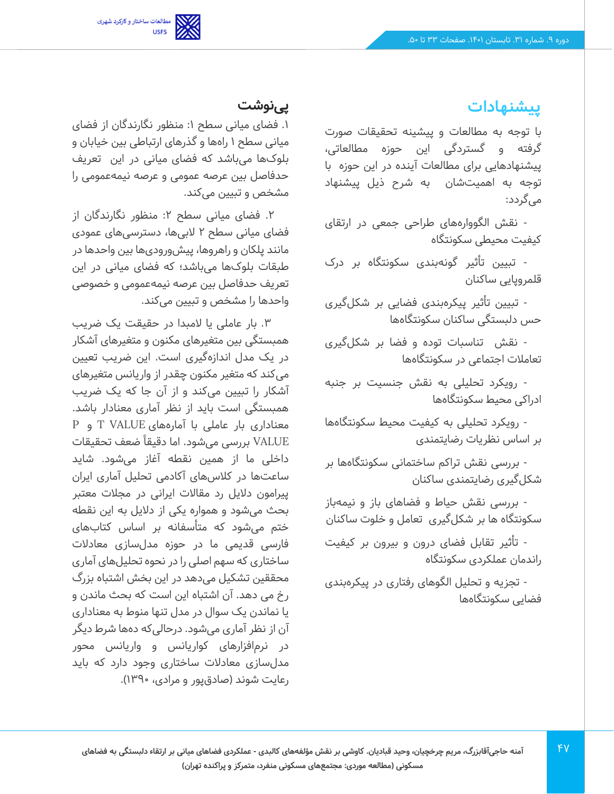

# **پیشنهادات**

با توجه به مطالعات و پیشینه تحقیقات صورت گرفته و گستردگی این حوزه مطالعاتی، پیشنهادهایی برای مطالعات آینده در این حوزه با توجه به اهمیت شان به شرح ذیل پیشنهاد میگردد:

- نقش الگوواره های طراحی جمعی در ارتقای کیفیت محیطی سکونتگاه

- تبیین تأثیر گونه بندی سکونتگاه بر درک قلمروپایی ساکنان

- تبیین تأثیر پیکره بندی فضایی بر شکل گیری حس دلبستگی ساکنان سکونتگاهها

- نقش تناسبات توده و فضا بر شکلگیری تعامالت اجتماعی در سکونتگاهها

- رویکرد تحلیلی به نقش جنسیت بر جنبه ادراکی محیط سکونتگاه ها

- رویکرد تحلیلی به کیفیت محیط سکونتگاه ها بر اساس نظریات رضایتمندی

- بررسی نقش تراکم ساختمانی سکونتگاه ها بر شکلگیری رضایتمندی ساکنان

- بررسی نقش حیاط و فضاهای باز و نیمه باز سکونتگاه ها بر شکل گیری تعامل و خلوت ساکنان

- تأثیر تقابل فضای درون و بیرون بر کیفیت راندمان عملکردی سکونتگاه

- تجزیه و تحلیل الگوهای رفتاری در پیکره بندی فضایی سکونتگاه ها

## **پی نوشت**

.1 فضای میانی سطح :1 منظور نگارندگان از فضای میانی سطح 1 راه ها و گذرهای ارتباطی بین خیابان و بلوک ها می باشد که فضای میانی در این تعریف حدفاصل بین عرصه عمومی و عرصه نیمه عمومی را مشخص و تبیین می کند.

.2 فضای میانی سطح :2 منظور نگارندگان از فضای میانی سطح 2 البی ها، دسترسی های عمودی مانند پلکان و راهروها، پیش ورودی ها بین واحدها در طبقات بلوک ها می باشد؛ که فضای میانی در این تعریف حدفاصل بین عرصه نیمهعمومی و خصوصی واحدها را مشخص و تبیین می کند.

.3 بار عاملی یا المبدا در حقیقت یک ضریب همبستگی بین متغیرهای مکنون و متغیرهای آشکار در یک مدل اندازهگیری است. این ضریب تعیین میکند که متغیر مکنون چقدر از واریانس متغیرهای آشکار را تبیین می کند و از آن جا که یک ضریب همبستگی است باید از نظر آماری معنادار باشد. معناداری بار عاملی با آمارههای VALUE T و P VALUE بررسی می شود. اما دقیقا ًضعف تحقیقات داخلی ما از همین نقطه آغاز می شود. شاید ساعت ها در کالس های آکادمی تحلیل آماری ایران پیرامون دالیل رد مقاالت ایرانی در مجالت معتبر بحث می شود و همواره یکی از دالیل به این نقطه ختم می شود که متأسفانه بر اساس کتابهای فارسی قدیمی ما در حوزه مدل سازی معادالت ساختاری که سهم اصلی را در نحوه تحلیل های آماری محققین تشکیل می دهد د ر این بخش اشتباه بزرگ رخ می دهد. آن اشتباه این است که بحث ماندن و یا نماندن یک سوال در مدل تنها منوط به معناداری آن از نظر آماری می شود. درحالی که ده ها شرط دیگر در نرم افزارهای کواریانس و واریانس محور مدل سازی معادالت ساختاری وجود دارد که باید رعایت شوند )صادق پور و مرادی، 1390(.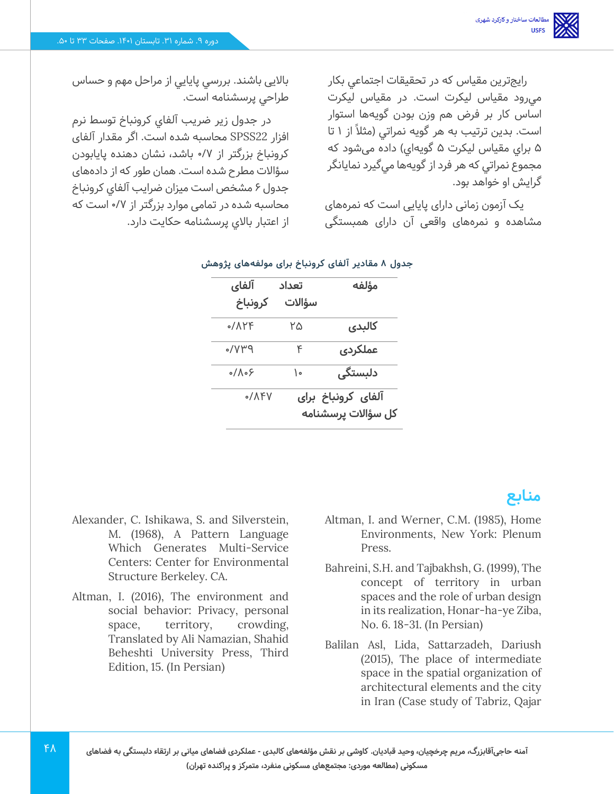رايج ترين مقياس كه در تحقيقات اجتماعي بكار ميرود مقياس ليكرت است. در مقياس ليكرت اساس كار بر فرض هم وزن بودن گويهها استوار است. بدين ترتيب به هر گويه نمراتي (مثلاً از ۱ تا 5 براي مقياس ليكرت 5 گويهاي( داده می شود كه مجموع نمراتي كه هر فرد از گويه ها مي گيرد نمايانگر گرايش او خواهد بود.

یک آزمون زمانی دارای پایایی است که نمره های مشاهده و نمره های واقعی آن دارای همبستگی

باالیی باشند. بررسي پايايي از مراحل مهم و حساس طراحي پرسشنامه است.

در جدول زیر ضريب آلفاي كرونباخ توسط نرم افزار 22SPSS محاسبه شده است. اگر مقدار آلفای كرونباخ بزرگتر از /7 0 باشد، نشان دهنده پايابودن سؤاالت مطرح شده است. همان طور که از داده های جدول 6 مشخص است ميزان ضرايب آلفاي كرونباخ محاسبه شده در تمامی موارد بزرگتر از 0/7 است كه از اعتبار باالي پرسشنامه حكايت دارد.

| آلفای<br>كرونباخ | تعداد<br>سؤالات | مؤلفه                                    |
|------------------|-----------------|------------------------------------------|
| 0/APF            | ۲۵              | كالبدى                                   |
| $P''V$ ه         | ۴               | عملكردي                                  |
| ۰/۸۰۶            | ۱۰              | دلېستگې                                  |
| 0/APV            |                 | آلفای کرونباخ برای<br>كل سؤالات پرسشنامه |

### **جدول 8 مقادیر آلفای کرونباخ برای مولفه های پژوهش**

- Alexander, C. Ishikawa, S. and Silverstein, M. (1968), A Pattern Language Which Generates Multi-Service Centers: Center for Environmental Structure Berkeley. CA.
- Altman, I. (2016), The environment and social behavior: Privacy, personal space, territory, crowding, Translated by Ali Namazian, Shahid Beheshti University Press, Third Edition, 15. (In Persian)
- Altman, I. and Werner, C.M. (1985), Home Environments, New York: Plenum Press.

**منابع**

- Bahreini, S.H. and Tajbakhsh, G. (1999), The concept of territory in urban spaces and the role of urban design in its realization, Honar-ha-ye Ziba, No. 6. 18-31. (In Persian)
- Balilan Asl, Lida, Sattarzadeh, Dariush (2015), The place of intermediate space in the spatial organization of architectural elements and the city in Iran (Case study of Tabriz, Qajar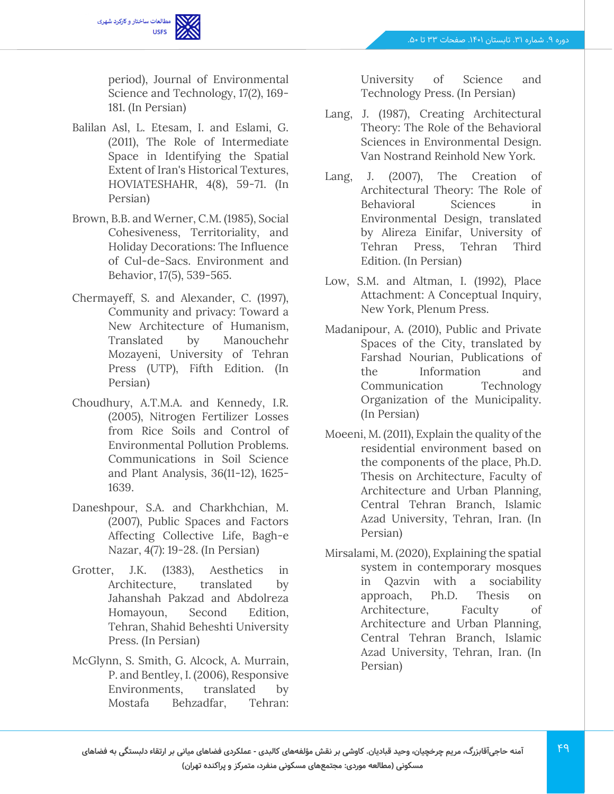

period), Journal of Environmental Science and Technology, 17(2), 169- 181. (In Persian)

- Balilan Asl, L. Etesam, I. and Eslami, G. (2011), The Role of Intermediate Space in Identifying the Spatial Extent of Iran's Historical Textures, HOVIATESHAHR, 4(8), 59-71. (In Persian)
- Brown, B.B. and Werner, C.M. (1985), Social Cohesiveness, Territoriality, and Holiday Decorations: The Influence of Cul-de-Sacs. Environment and Behavior, 17(5), 539-565.
- Chermayeff, S. and Alexander, C. (1997), Community and privacy: Toward a New Architecture of Humanism, Translated by Manouchehr Mozayeni, University of Tehran Press (UTP), Fifth Edition. (In Persian)
- Choudhury, A.T.M.A. and Kennedy, I.R. (2005), Nitrogen Fertilizer Losses from Rice Soils and Control of Environmental Pollution Problems. Communications in Soil Science and Plant Analysis, 36(11-12), 1625- 1639.
- Daneshpour, S.A. and Charkhchian, M. (2007), Public Spaces and Factors Affecting Collective Life, Bagh-e Nazar, 4(7): 19-28. (In Persian)
- Grotter, J.K. (1383), Aesthetics in Architecture, translated by Jahanshah Pakzad and Abdolreza Homayoun, Second Edition, Tehran, Shahid Beheshti University Press. (In Persian)
- McGlynn, S. Smith, G. Alcock, A. Murrain, P. and Bentley, I. (2006), Responsive Environments, translated by Mostafa Behzadfar, Tehran:

University of Science and Technology Press. (In Persian)

- Lang, J. (1987), Creating Architectural Theory: The Role of the Behavioral Sciences in Environmental Design. Van Nostrand Reinhold New York.
- Lang, J. (2007), The Creation of Architectural Theory: The Role of Behavioral Sciences in Environmental Design, translated by Alireza Einifar, University of Tehran Press, Tehran Third Edition. (In Persian)
- Low, S.M. and Altman, I. (1992), Place Attachment: A Conceptual Inquiry, New York, Plenum Press.
- Madanipour, A. (2010), Public and Private Spaces of the City, translated by Farshad Nourian, Publications of the Information and Communication Technology Organization of the Municipality. (In Persian)
- Moeeni, M. (2011), Explain the quality of the residential environment based on the components of the place, Ph.D. Thesis on Architecture, Faculty of Architecture and Urban Planning, Central Tehran Branch, Islamic Azad University, Tehran, Iran. (In Persian)
- Mirsalami, M. (2020), Explaining the spatial system in contemporary mosques in Qazvin with a sociability approach, Ph.D. Thesis on Architecture, Faculty of Architecture and Urban Planning, Central Tehran Branch, Islamic Azad University, Tehran, Iran. (In Persian)